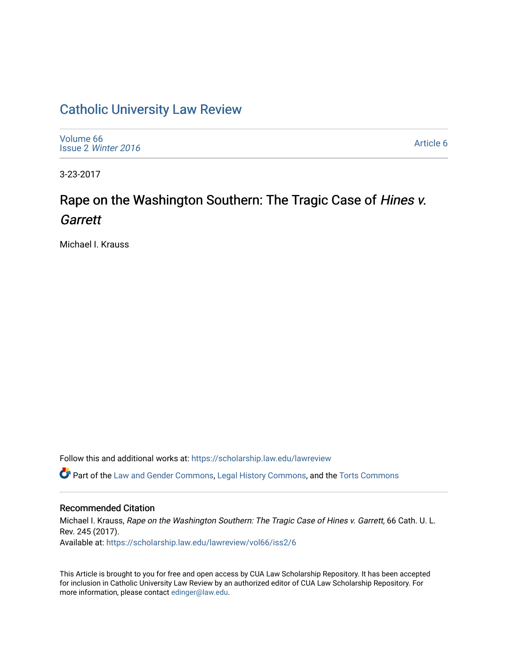## [Catholic University Law Review](https://scholarship.law.edu/lawreview)

[Volume 66](https://scholarship.law.edu/lawreview/vol66) Issue 2 [Winter 2016](https://scholarship.law.edu/lawreview/vol66/iss2) 

[Article 6](https://scholarship.law.edu/lawreview/vol66/iss2/6) 

3-23-2017

# Rape on the Washington Southern: The Tragic Case of Hines v. **Garrett**

Michael I. Krauss

Follow this and additional works at: [https://scholarship.law.edu/lawreview](https://scholarship.law.edu/lawreview?utm_source=scholarship.law.edu%2Flawreview%2Fvol66%2Fiss2%2F6&utm_medium=PDF&utm_campaign=PDFCoverPages)

Part of the [Law and Gender Commons,](http://network.bepress.com/hgg/discipline/1298?utm_source=scholarship.law.edu%2Flawreview%2Fvol66%2Fiss2%2F6&utm_medium=PDF&utm_campaign=PDFCoverPages) [Legal History Commons](http://network.bepress.com/hgg/discipline/904?utm_source=scholarship.law.edu%2Flawreview%2Fvol66%2Fiss2%2F6&utm_medium=PDF&utm_campaign=PDFCoverPages), and the [Torts Commons](http://network.bepress.com/hgg/discipline/913?utm_source=scholarship.law.edu%2Flawreview%2Fvol66%2Fiss2%2F6&utm_medium=PDF&utm_campaign=PDFCoverPages) 

#### Recommended Citation

Michael I. Krauss, Rape on the Washington Southern: The Tragic Case of Hines v. Garrett, 66 Cath. U. L. Rev. 245 (2017). Available at: [https://scholarship.law.edu/lawreview/vol66/iss2/6](https://scholarship.law.edu/lawreview/vol66/iss2/6?utm_source=scholarship.law.edu%2Flawreview%2Fvol66%2Fiss2%2F6&utm_medium=PDF&utm_campaign=PDFCoverPages)

This Article is brought to you for free and open access by CUA Law Scholarship Repository. It has been accepted for inclusion in Catholic University Law Review by an authorized editor of CUA Law Scholarship Repository. For more information, please contact [edinger@law.edu.](mailto:edinger@law.edu)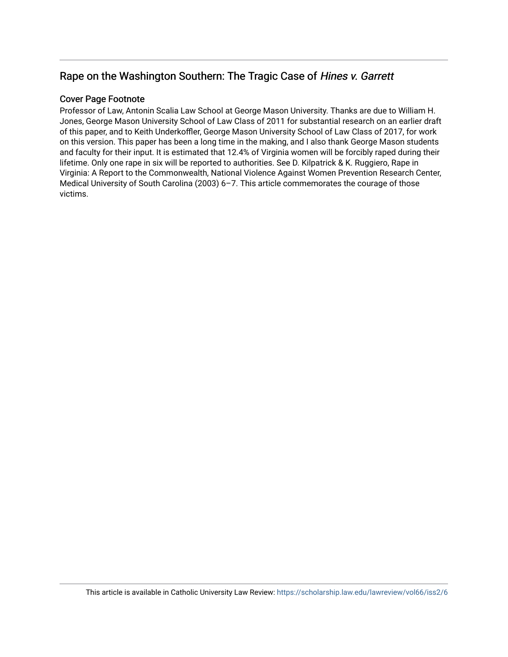## Rape on the Washington Southern: The Tragic Case of Hines v. Garrett

### Cover Page Footnote

Professor of Law, Antonin Scalia Law School at George Mason University. Thanks are due to William H. Jones, George Mason University School of Law Class of 2011 for substantial research on an earlier draft of this paper, and to Keith Underkoffler, George Mason University School of Law Class of 2017, for work on this version. This paper has been a long time in the making, and I also thank George Mason students and faculty for their input. It is estimated that 12.4% of Virginia women will be forcibly raped during their lifetime. Only one rape in six will be reported to authorities. See D. Kilpatrick & K. Ruggiero, Rape in Virginia: A Report to the Commonwealth, National Violence Against Women Prevention Research Center, Medical University of South Carolina (2003) 6–7. This article commemorates the courage of those victims.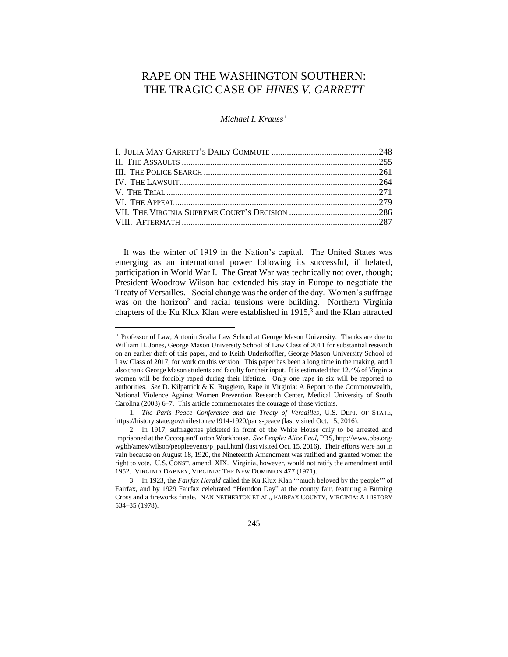## RAPE ON THE WASHINGTON SOUTHERN: THE TRAGIC CASE OF *HINES V. GARRETT*

*Michael I. Krauss<sup>+</sup>*

It was the winter of 1919 in the Nation's capital. The United States was emerging as an international power following its successful, if belated, participation in World War I. The Great War was technically not over, though; President Woodrow Wilson had extended his stay in Europe to negotiate the Treaty of Versailles.<sup>1</sup> Social change was the order of the day. Women's suffrage was on the horizon<sup>2</sup> and racial tensions were building. Northern Virginia chapters of the Ku Klux Klan were established in  $1915$ ,<sup>3</sup> and the Klan attracted

 $\overline{\phantom{a}}$ 

245

<sup>+</sup> Professor of Law, Antonin Scalia Law School at George Mason University. Thanks are due to William H. Jones, George Mason University School of Law Class of 2011 for substantial research on an earlier draft of this paper, and to Keith Underkoffler, George Mason University School of Law Class of 2017, for work on this version. This paper has been a long time in the making, and I also thank George Mason students and faculty for their input. It is estimated that 12.4% of Virginia women will be forcibly raped during their lifetime. Only one rape in six will be reported to authorities. *See* D. Kilpatrick & K. Ruggiero, Rape in Virginia: A Report to the Commonwealth, National Violence Against Women Prevention Research Center, Medical University of South Carolina (2003) 6–7. This article commemorates the courage of those victims.

<sup>1</sup>*. The Paris Peace Conference and the Treaty of Versailles*, U.S. DEPT. OF STATE, https://history.state.gov/milestones/1914-1920/paris-peace (last visited Oct. 15, 2016).

<sup>2.</sup> In 1917, suffragettes picketed in front of the White House only to be arrested and imprisoned at the Occoquan/Lorton Workhouse. *See People: Alice Paul*, PBS, http://www.pbs.org/ wgbh/amex/wilson/peopleevents/p\_paul.html (last visited Oct. 15, 2016). Their efforts were not in vain because on August 18, 1920, the Nineteenth Amendment was ratified and granted women the right to vote. U.S. CONST. amend. XIX. Virginia, however, would not ratify the amendment until 1952. VIRGINIA DABNEY, VIRGINIA: THE NEW DOMINION 477 (1971).

<sup>3.</sup> In 1923, the *Fairfax Herald* called the Ku Klux Klan "'much beloved by the people'" of Fairfax, and by 1929 Fairfax celebrated "Herndon Day" at the county fair, featuring a Burning Cross and a fireworks finale. NAN NETHERTON ET AL., FAIRFAX COUNTY, VIRGINIA: A HISTORY 534–35 (1978).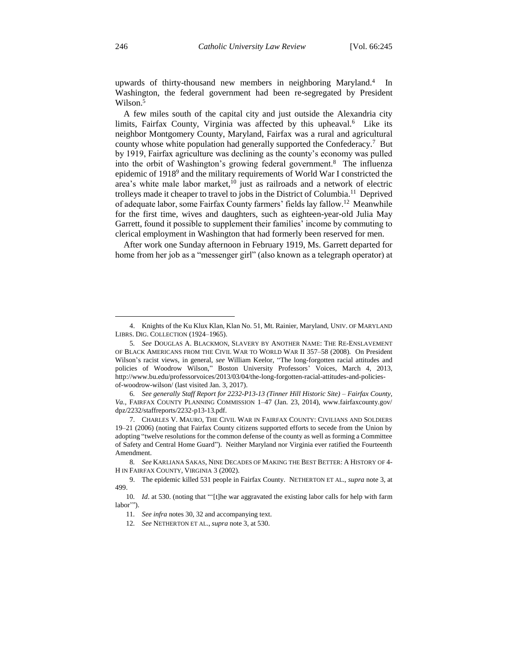upwards of thirty-thousand new members in neighboring Maryland.<sup>4</sup> In Washington, the federal government had been re-segregated by President Wilson.<sup>5</sup>

A few miles south of the capital city and just outside the Alexandria city limits, Fairfax County, Virginia was affected by this upheaval.<sup>6</sup> Like its neighbor Montgomery County, Maryland, Fairfax was a rural and agricultural county whose white population had generally supported the Confederacy.<sup>7</sup> But by 1919, Fairfax agriculture was declining as the county's economy was pulled into the orbit of Washington's growing federal government.<sup>8</sup> The influenza epidemic of 1918<sup>9</sup> and the military requirements of World War I constricted the area's white male labor market, <sup>10</sup> just as railroads and a network of electric trolleys made it cheaper to travel to jobs in the District of Columbia.<sup>11</sup> Deprived of adequate labor, some Fairfax County farmers' fields lay fallow.<sup>12</sup> Meanwhile for the first time, wives and daughters, such as eighteen-year-old Julia May Garrett, found it possible to supplement their families' income by commuting to clerical employment in Washington that had formerly been reserved for men.

After work one Sunday afternoon in February 1919, Ms. Garrett departed for home from her job as a "messenger girl" (also known as a telegraph operator) at

<sup>4.</sup> Knights of the Ku Klux Klan, Klan No. 51, Mt. Rainier, Maryland, UNIV. OF MARYLAND LIBRS. DIG. COLLECTION (1924–1965).

<sup>5</sup>*. See* DOUGLAS A. BLACKMON, SLAVERY BY ANOTHER NAME: THE RE-ENSLAVEMENT OF BLACK AMERICANS FROM THE CIVIL WAR TO WORLD WAR II 357–58 (2008). On President Wilson's racist views, in general, *see* William Keelor, "The long-forgotten racial attitudes and policies of Woodrow Wilson," Boston University Professors' Voices, March 4, 2013, http://www.bu.edu/professorvoices/2013/03/04/the-long-forgotten-racial-attitudes-and-policiesof-woodrow-wilson/ (last visited Jan. 3, 2017).

<sup>6</sup>*. See generally Staff Report for 2232-P13-13 (Tinner Hill Historic Site) – Fairfax County, Va.,* FAIRFAX COUNTY PLANNING COMMISSION 1–47 (Jan. 23, 2014), www.fairfaxcounty.gov/ dpz/2232/staffreports/2232-p13-13.pdf.

<sup>7.</sup> CHARLES V. MAURO, THE CIVIL WAR IN FAIRFAX COUNTY: CIVILIANS AND SOLDIERS 19–21 (2006) (noting that Fairfax County citizens supported efforts to secede from the Union by adopting "twelve resolutions for the common defense of the county as well as forming a Committee of Safety and Central Home Guard"). Neither Maryland nor Virginia ever ratified the Fourteenth Amendment.

<sup>8</sup>*. See* KARLIANA SAKAS, NINE DECADES OF MAKING THE BEST BETTER: A HISTORY OF 4- H IN FAIRFAX COUNTY, VIRGINIA 3 (2002).

<sup>9.</sup> The epidemic killed 531 people in Fairfax County. NETHERTON ET AL., *supra* note 3, at 499.

<sup>10</sup>*. Id*. at 530. (noting that "'[t]he war aggravated the existing labor calls for help with farm labor'").

<sup>11</sup>*. See infra* notes 30, 32 and accompanying text.

<sup>12</sup>*. See* NETHERTON ET AL., *supra* note 3, at 530.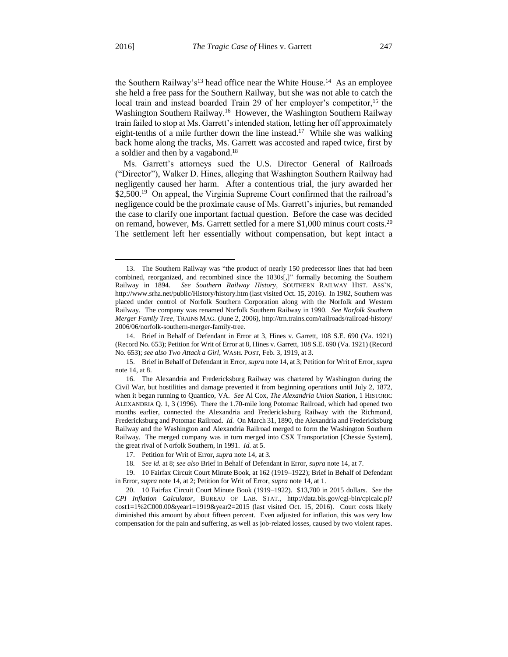$\overline{\phantom{a}}$ 

the Southern Railway's<sup>13</sup> head office near the White House.<sup>14</sup> As an employee she held a free pass for the Southern Railway, but she was not able to catch the local train and instead boarded Train 29 of her employer's competitor,<sup>15</sup> the Washington Southern Railway.<sup>16</sup> However, the Washington Southern Railway train failed to stop at Ms. Garrett's intended station, letting her off approximately eight-tenths of a mile further down the line instead.<sup>17</sup> While she was walking back home along the tracks, Ms. Garrett was accosted and raped twice, first by a soldier and then by a vagabond.<sup>18</sup>

Ms. Garrett's attorneys sued the U.S. Director General of Railroads ("Director"), Walker D. Hines, alleging that Washington Southern Railway had negligently caused her harm. After a contentious trial, the jury awarded her \$2,500.<sup>19</sup> On appeal, the Virginia Supreme Court confirmed that the railroad's negligence could be the proximate cause of Ms. Garrett's injuries, but remanded the case to clarify one important factual question. Before the case was decided on remand, however, Ms. Garrett settled for a mere \$1,000 minus court costs.<sup>20</sup> The settlement left her essentially without compensation, but kept intact a

<sup>13.</sup> The Southern Railway was "the product of nearly 150 predecessor lines that had been combined, reorganized, and recombined since the 1830s[,]" formally becoming the Southern Railway in 1894. *See Southern Railway History*, SOUTHERN RAILWAY HIST. ASS'N, http://www.srha.net/public/History/history.htm (last visited Oct. 15, 2016). In 1982, Southern was placed under control of Norfolk Southern Corporation along with the Norfolk and Western Railway. The company was renamed Norfolk Southern Railway in 1990. *See Norfolk Southern Merger Family Tree*, TRAINS MAG. (June 2, 2006), http://trn.trains.com/railroads/railroad-history/ 2006/06/norfolk-southern-merger-family-tree.

<sup>14.</sup> Brief in Behalf of Defendant in Error at 3, Hines v. Garrett, 108 S.E. 690 (Va. 1921) (Record No. 653); Petition for Writ of Error at 8, Hines v. Garrett, 108 S.E. 690 (Va. 1921) (Record No. 653); *see also Two Attack a Girl*, WASH. POST, Feb. 3, 1919, at 3.

<sup>15.</sup> Brief in Behalf of Defendant in Error, *supra* note 14, at 3; Petition for Writ of Error, *supra* note 14, at 8.

<sup>16.</sup> The Alexandria and Fredericksburg Railway was chartered by Washington during the Civil War, but hostilities and damage prevented it from beginning operations until July 2, 1872, when it began running to Quantico, VA. *See* Al Cox, *The Alexandria Union Station*, 1 HISTORIC ALEXANDRIA Q. 1, 3 (1996). There the 1.70-mile long Potomac Railroad, which had opened two months earlier, connected the Alexandria and Fredericksburg Railway with the Richmond, Fredericksburg and Potomac Railroad. *Id.* On March 31, 1890, the Alexandria and Fredericksburg Railway and the Washington and Alexandria Railroad merged to form the Washington Southern Railway. The merged company was in turn merged into CSX Transportation [Chessie System], the great rival of Norfolk Southern, in 1991. *Id.* at 5.

<sup>17.</sup> Petition for Writ of Error, *supra* note 14, at 3.

<sup>18</sup>*. See id.* at 8; *see also* Brief in Behalf of Defendant in Error, *supra* note 14, at 7.

<sup>19.</sup> 10 Fairfax Circuit Court Minute Book, at 162 (1919–1922); Brief in Behalf of Defendant in Error, *supra* note 14, at 2; Petition for Writ of Error, *supra* note 14, at 1.

<sup>20.</sup> 10 Fairfax Circuit Court Minute Book (1919–1922). \$13,700 in 2015 dollars. *See* the *CPI Inflation Calculator*, BUREAU OF LAB. STAT., http://data.bls.gov/cgi-bin/cpicalc.pl? cost1=1%2C000.00&year1=1919&year2=2015 (last visited Oct. 15, 2016). Court costs likely diminished this amount by about fifteen percent. Even adjusted for inflation, this was very low compensation for the pain and suffering, as well as job-related losses, caused by two violent rapes.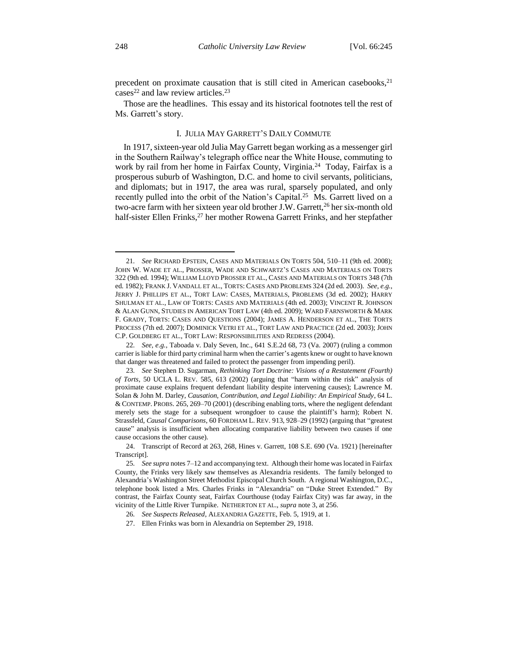precedent on proximate causation that is still cited in American casebooks, $^{21}$ cases<sup>22</sup> and law review articles.<sup>23</sup>

Those are the headlines. This essay and its historical footnotes tell the rest of Ms. Garrett's story.

#### I. JULIA MAY GARRETT'S DAILY COMMUTE

In 1917, sixteen-year old Julia May Garrett began working as a messenger girl in the Southern Railway's telegraph office near the White House, commuting to work by rail from her home in Fairfax County, Virginia.<sup>24</sup> Today, Fairfax is a prosperous suburb of Washington, D.C. and home to civil servants, politicians, and diplomats; but in 1917, the area was rural, sparsely populated, and only recently pulled into the orbit of the Nation's Capital.<sup>25</sup> Ms. Garrett lived on a two-acre farm with her sixteen year old brother J.W. Garrett,<sup>26</sup> her six-month old half-sister Ellen Frinks,<sup>27</sup> her mother Rowena Garrett Frinks, and her stepfather

<sup>21</sup>*. See* RICHARD EPSTEIN, CASES AND MATERIALS ON TORTS 504, 510–11 (9th ed. 2008); JOHN W. WADE ET AL., PROSSER, WADE AND SCHWARTZ'S CASES AND MATERIALS ON TORTS 322 (9th ed. 1994); WILLIAM LLOYD PROSSER ET AL., CASES AND MATERIALS ON TORTS 348 (7th ed. 1982); FRANK J. VANDALL ET AL., TORTS: CASES AND PROBLEMS 324 (2d ed. 2003). *See, e.g.*, JERRY J. PHILLIPS ET AL., TORT LAW: CASES, MATERIALS, PROBLEMS (3d ed. 2002); HARRY SHULMAN ET AL., LAW OF TORTS: CASES AND MATERIALS (4th ed. 2003); VINCENT R. JOHNSON & ALAN GUNN, STUDIES IN AMERICAN TORT LAW (4th ed. 2009); WARD FARNSWORTH & MARK F. GRADY, TORTS: CASES AND QUESTIONS (2004); JAMES A. HENDERSON ET AL., THE TORTS PROCESS (7th ed. 2007); DOMINICK VETRI ET AL., TORT LAW AND PRACTICE (2d ed. 2003); JOHN C.P. GOLDBERG ET AL., TORT LAW: RESPONSIBILITIES AND REDRESS (2004).

<sup>22</sup>*. See, e.g.*, Taboada v. Daly Seven, Inc., 641 S.E.2d 68, 73 (Va. 2007) (ruling a common carrier is liable for third party criminal harm when the carrier's agents knew or ought to have known that danger was threatened and failed to protect the passenger from impending peril).

<sup>23</sup>*. See* Stephen D. Sugarman, *Rethinking Tort Doctrine: Visions of a Restatement (Fourth) of Torts*, 50 UCLA L. REV. 585, 613 (2002) (arguing that "harm within the risk" analysis of proximate cause explains frequent defendant liability despite intervening causes); Lawrence M. Solan & John M. Darley, *Causation, Contribution, and Legal Liability: An Empirical Study*, 64 L. & CONTEMP. PROBS. 265, 269–70 (2001) (describing enabling torts, where the negligent defendant merely sets the stage for a subsequent wrongdoer to cause the plaintiff's harm); Robert N. Strassfeld, *Causal Comparisons*, 60 FORDHAM L. REV. 913, 928–29 (1992) (arguing that "greatest cause" analysis is insufficient when allocating comparative liability between two causes if one cause occasions the other cause).

<sup>24.</sup> Transcript of Record at 263, 268, Hines v. Garrett, 108 S.E. 690 (Va. 1921) [hereinafter Transcript].

<sup>25</sup>*. See supra* notes 7–12 and accompanying text. Although their home was located in Fairfax County, the Frinks very likely saw themselves as Alexandria residents. The family belonged to Alexandria's Washington Street Methodist Episcopal Church South. A regional Washington, D.C., telephone book listed a Mrs. Charles Frinks in "Alexandria" on "Duke Street Extended." By contrast, the Fairfax County seat, Fairfax Courthouse (today Fairfax City) was far away, in the vicinity of the Little River Turnpike. NETHERTON ET AL., *supra* note 3, at 256.

<sup>26</sup>*. See Suspects Released*, ALEXANDRIA GAZETTE, Feb. 5, 1919, at 1.

<sup>27.</sup> Ellen Frinks was born in Alexandria on September 29, 1918.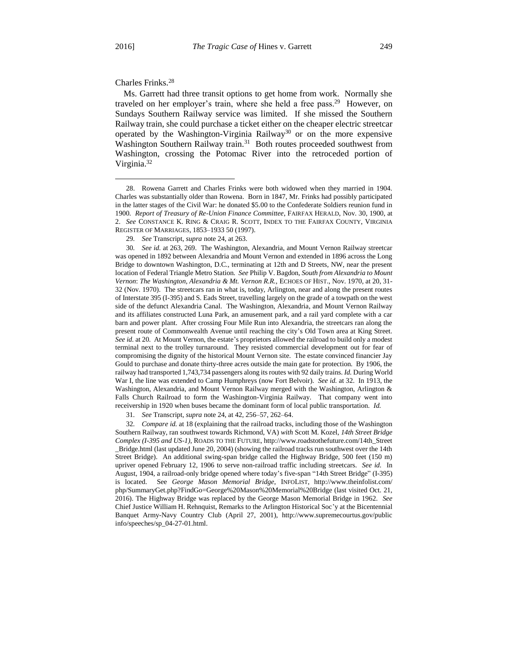$\overline{\phantom{a}}$ 

#### Charles Frinks.<sup>28</sup>

Ms. Garrett had three transit options to get home from work. Normally she traveled on her employer's train, where she held a free pass.<sup>29</sup> However, on Sundays Southern Railway service was limited. If she missed the Southern Railway train, she could purchase a ticket either on the cheaper electric streetcar operated by the Washington-Virginia Railway<sup>30</sup> or on the more expensive Washington Southern Railway train.<sup>31</sup> Both routes proceeded southwest from Washington, crossing the Potomac River into the retroceded portion of Virginia.<sup>32</sup>

31*. See* Transcript, *supra* note 24, at 42, 256–57, 262–64.

32*. Compare id.* at 18 (explaining that the railroad tracks, including those of the Washington Southern Railway, ran southwest towards Richmond, VA) *with* Scott M. Kozel, *14th Street Bridge Complex (I-395 and US-1)*, ROADS TO THE FUTURE, http://www.roadstothefuture.com/14th\_Street \_Bridge.html (last updated June 20, 2004) (showing the railroad tracks run southwest over the 14th Street Bridge). An additional swing-span bridge called the Highway Bridge, 500 feet (150 m) upriver opened February 12, 1906 to serve non-railroad traffic including streetcars. *See id.* In August, 1904, a railroad-only bridge opened where today's five-span "14th Street Bridge" (I-395) is located. See *George Mason Memorial Bridge*, INFOLIST, http://www.theinfolist.com/ php/SummaryGet.php?FindGo=George%20Mason%20Memorial%20Bridge (last visited Oct. 21, 2016). The Highway Bridge was replaced by the George Mason Memorial Bridge in 1962. *See* Chief Justice William H. Rehnquist, Remarks to the Arlington Historical Soc'y at the Bicentennial Banquet Army-Navy Country Club (April 27, 2001), http://www.supremecourtus.gov/public info/speeches/sp\_04-27-01.html.

<sup>28.</sup> Rowena Garrett and Charles Frinks were both widowed when they married in 1904. Charles was substantially older than Rowena. Born in 1847, Mr. Frinks had possibly participated in the latter stages of the Civil War: he donated \$5.00 to the Confederate Soldiers reunion fund in 1900. *Report of Treasury of Re-Union Finance Committee*, FAIRFAX HERALD, Nov. 30, 1900, at 2. *See* CONSTANCE K. RING & CRAIG R. SCOTT, INDEX TO THE FAIRFAX COUNTY, VIRGINIA REGISTER OF MARRIAGES, 1853–1933 50 (1997).

<sup>29</sup>*. See* Transcript, *supra* note 24, at 263.

<sup>30</sup>*. See id.* at 263, 269. The Washington, Alexandria, and Mount Vernon Railway streetcar was opened in 1892 between Alexandria and Mount Vernon and extended in 1896 across the Long Bridge to downtown Washington, D.C., terminating at 12th and D Streets, NW, near the present location of Federal Triangle Metro Station. *See* Philip V. Bagdon, *South from Alexandria to Mount Vernon*: *The Washington, Alexandria & Mt. Vernon R.R.,* ECHOES OF HIST., Nov. 1970, at 20, 31- 32 (Nov. 1970). The streetcars ran in what is, today, Arlington, near and along the present routes of Interstate 395 (I-395) and S. Eads Street, travelling largely on the grade of a towpath on the west side of the defunct Alexandria Canal. The Washington, Alexandria, and Mount Vernon Railway and its affiliates constructed Luna Park, an amusement park, and a rail yard complete with a car barn and power plant. After crossing Four Mile Run into Alexandria, the streetcars ran along the present route of Commonwealth Avenue until reaching the city's Old Town area at King Street. *See id.* at 20. At Mount Vernon, the estate's proprietors allowed the railroad to build only a modest terminal next to the trolley turnaround. They resisted commercial development out for fear of compromising the dignity of the historical Mount Vernon site. The estate convinced financier Jay Gould to purchase and donate thirty-three acres outside the main gate for protection. By 1906, the railway had transported 1,743,734 passengers along its routes with 92 daily trains. *Id.* During World War I, the line was extended to Camp Humphreys (now Fort Belvoir). *See id.* at 32. In 1913, the Washington, Alexandria, and Mount Vernon Railway merged with the Washington, Arlington & Falls Church Railroad to form the Washington-Virginia Railway. That company went into receivership in 1920 when buses became the dominant form of local public transportation. *Id.*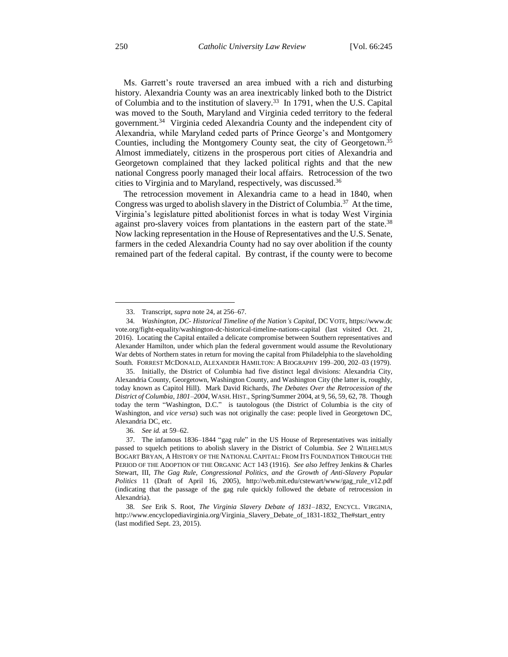Ms. Garrett's route traversed an area imbued with a rich and disturbing history. Alexandria County was an area inextricably linked both to the District of Columbia and to the institution of slavery.<sup>33</sup> In 1791, when the U.S. Capital was moved to the South, Maryland and Virginia ceded territory to the federal government.<sup>34</sup> Virginia ceded Alexandria County and the independent city of Alexandria, while Maryland ceded parts of Prince George's and Montgomery Counties, including the Montgomery County seat, the city of Georgetown.<sup>35</sup> Almost immediately, citizens in the prosperous port cities of Alexandria and Georgetown complained that they lacked political rights and that the new national Congress poorly managed their local affairs. Retrocession of the two cities to Virginia and to Maryland, respectively, was discussed.<sup>36</sup>

The retrocession movement in Alexandria came to a head in 1840, when Congress was urged to abolish slavery in the District of Columbia.<sup>37</sup> At the time, Virginia's legislature pitted abolitionist forces in what is today West Virginia against pro-slavery voices from plantations in the eastern part of the state.<sup>38</sup> Now lacking representation in the House of Representatives and the U.S. Senate, farmers in the ceded Alexandria County had no say over abolition if the county remained part of the federal capital. By contrast, if the county were to become

<sup>33.</sup> Transcript, *supra* note 24, at 256–67.

<sup>34</sup>*. Washington, DC- Historical Timeline of the Nation's Capital*, DC VOTE, https://www.dc vote.org/fight-equality/washington-dc-historical-timeline-nations-capital (last visited Oct. 21, 2016). Locating the Capital entailed a delicate compromise between Southern representatives and Alexander Hamilton, under which plan the federal government would assume the Revolutionary War debts of Northern states in return for moving the capital from Philadelphia to the slaveholding South. FORREST MCDONALD, ALEXANDER HAMILTON: A BIOGRAPHY 199–200, 202–03 (1979).

<sup>35.</sup> Initially, the District of Columbia had five distinct legal divisions: Alexandria City, Alexandria County, Georgetown, Washington County, and Washington City (the latter is, roughly, today known as Capitol Hill). Mark David Richards, *The Debates Over the Retrocession of the District of Columbia, 1801–2004*, WASH. HIST., Spring/Summer 2004, at 9, 56, 59, 62, 78. Though today the term "Washington, D.C." is tautologous (the District of Columbia is the city of Washington, and *vice versa*) such was not originally the case: people lived in Georgetown DC, Alexandria DC, etc.

<sup>36</sup>*. See id.* at 59–62.

<sup>37.</sup> The infamous 1836–1844 "gag rule" in the US House of Representatives was initially passed to squelch petitions to abolish slavery in the District of Columbia. *See* 2 WILHELMUS BOGART BRYAN, A HISTORY OF THE NATIONAL CAPITAL: FROM ITS FOUNDATION THROUGH THE PERIOD OF THE ADOPTION OF THE ORGANIC ACT 143 (1916). *See also* Jeffrey Jenkins & Charles Stewart, III, *The Gag Rule, Congressional Politics, and the Growth of Anti-Slavery Popular Politics* 11 (Draft of April 16, 2005), http://web.mit.edu/cstewart/www/gag\_rule\_v12.pdf (indicating that the passage of the gag rule quickly followed the debate of retrocession in Alexandria).

<sup>38</sup>*. See* Erik S. Root, *The Virginia Slavery Debate of 1831–1832*, ENCYCL. VIRGINIA, http://www.encyclopediavirginia.org/Virginia\_Slavery\_Debate\_of\_1831-1832\_The#start\_entry (last modified Sept. 23, 2015).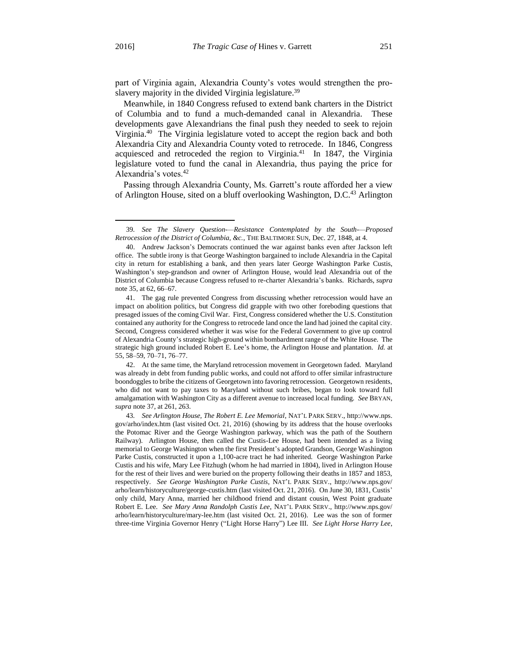l

part of Virginia again, Alexandria County's votes would strengthen the proslavery majority in the divided Virginia legislature.<sup>39</sup>

Meanwhile, in 1840 Congress refused to extend bank charters in the District of Columbia and to fund a much-demanded canal in Alexandria. These developments gave Alexandrians the final push they needed to seek to rejoin Virginia.<sup>40</sup> The Virginia legislature voted to accept the region back and both Alexandria City and Alexandria County voted to retrocede. In 1846, Congress acquiesced and retroceded the region to Virginia.<sup>41</sup> In 1847, the Virginia legislature voted to fund the canal in Alexandria, thus paying the price for Alexandria's votes.<sup>42</sup>

Passing through Alexandria County, Ms. Garrett's route afforded her a view of Arlington House, sited on a bluff overlooking Washington, D.C.<sup>43</sup> Arlington

<sup>39</sup>*. See The Slavery Question-—Resistance Contemplated by the South-—Proposed Retrocession of the District of Columbia, &c.*, THE BALTIMORE SUN, Dec. 27, 1848, at 4.

<sup>40.</sup> Andrew Jackson's Democrats continued the war against banks even after Jackson left office. The subtle irony is that George Washington bargained to include Alexandria in the Capital city in return for establishing a bank, and then years later George Washington Parke Custis, Washington's step-grandson and owner of Arlington House, would lead Alexandria out of the District of Columbia because Congress refused to re-charter Alexandria's banks. Richards, *supra* note 35, at 62, 66–67.

<sup>41.</sup> The gag rule prevented Congress from discussing whether retrocession would have an impact on abolition politics, but Congress did grapple with two other foreboding questions that presaged issues of the coming Civil War. First, Congress considered whether the U.S. Constitution contained any authority for the Congress to retrocede land once the land had joined the capital city. Second, Congress considered whether it was wise for the Federal Government to give up control of Alexandria County's strategic high-ground within bombardment range of the White House. The strategic high ground included Robert E. Lee's home, the Arlington House and plantation. *Id.* at 55, 58–59, 70–71, 76–77.

<sup>42.</sup> At the same time, the Maryland retrocession movement in Georgetown faded. Maryland was already in debt from funding public works, and could not afford to offer similar infrastructure boondoggles to bribe the citizens of Georgetown into favoring retrocession. Georgetown residents, who did not want to pay taxes to Maryland without such bribes, began to look toward full amalgamation with Washington City as a different avenue to increased local funding. *See* BRYAN, *supra* note 37, at 261, 263.

<sup>43</sup>*. See Arlington House, The Robert E. Lee Memorial*, NAT'L PARK SERV., http://www.nps. gov/arho/index.htm (last visited Oct. 21, 2016) (showing by its address that the house overlooks the Potomac River and the George Washington parkway, which was the path of the Southern Railway). Arlington House, then called the Custis-Lee House, had been intended as a living memorial to George Washington when the first President's adopted Grandson, George Washington Parke Custis, constructed it upon a 1,100-acre tract he had inherited. George Washington Parke Custis and his wife, Mary Lee Fitzhugh (whom he had married in 1804), lived in Arlington House for the rest of their lives and were buried on the property following their deaths in 1857 and 1853, respectively. *See George Washington Parke Custis*, NAT'L PARK SERV., http://www.nps.gov/ arho/learn/historyculture/george-custis.htm (last visited Oct. 21, 2016). On June 30, 1831, Custis' only child, Mary Anna, married her childhood friend and distant cousin, West Point graduate Robert E. Lee. *See Mary Anna Randolph Custis Lee*, NAT'L PARK SERV., http://www.nps.gov/ arho/learn/historyculture/mary-lee.htm (last visited Oct. 21, 2016). Lee was the son of former three-time Virginia Governor Henry ("Light Horse Harry") Lee III. *See Light Horse Harry Lee*,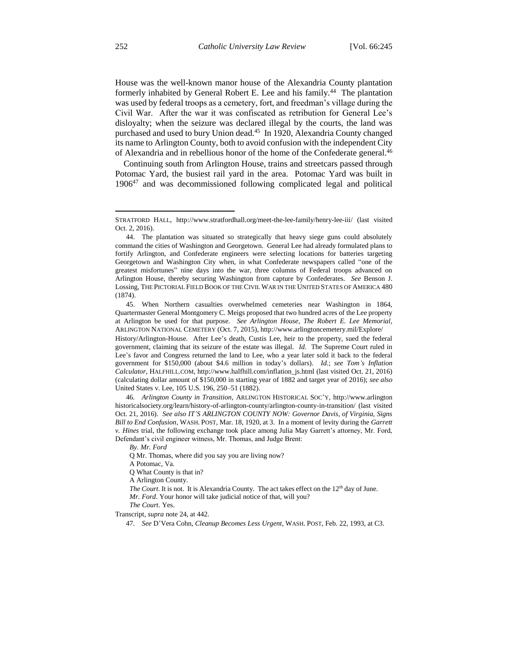House was the well-known manor house of the Alexandria County plantation formerly inhabited by General Robert E. Lee and his family.<sup>44</sup> The plantation was used by federal troops as a cemetery, fort, and freedman's village during the Civil War. After the war it was confiscated as retribution for General Lee's disloyalty; when the seizure was declared illegal by the courts, the land was purchased and used to bury Union dead.<sup>45</sup> In 1920, Alexandria County changed its name to Arlington County, both to avoid confusion with the independent City of Alexandria and in rebellious honor of the home of the Confederate general.<sup>46</sup>

Continuing south from Arlington House, trains and streetcars passed through Potomac Yard, the busiest rail yard in the area. Potomac Yard was built in 1906<sup>47</sup> and was decommissioned following complicated legal and political

*Calculator*, HALFHILL.COM, http://www.halfhill.com/inflation\_js.html (last visited Oct. 21, 2016) (calculating dollar amount of \$150,000 in starting year of 1882 and target year of 2016); *see also* United States v. Lee, 105 U.S. 196, 250–51 (1882).

46*. Arlington County in Transition*, ARLINGTON HISTORICAL SOC'Y, http://www.arlington historicalsociety.org/learn/history-of-arlington-county/arlington-county-in-transition/ (last visited Oct. 21, 2016). *See also IT'S ARLINGTON COUNTY NOW: Governor Davis, of Virginia, Signs Bill to End Confusion*, WASH. POST, Mar. 18, 1920, at 3. In a moment of levity during the *Garrett v. Hines* trial, the following exchange took place among Julia May Garrett's attorney, Mr. Ford, Defendant's civil engineer witness, Mr. Thomas, and Judge Brent:

*By. Mr. Ford*

Q Mr. Thomas, where did you say you are living now?

A Potomac, Va.

Q What County is that in?

A Arlington County.

*The Court*. It is not. It is Alexandria County. The act takes effect on the 12<sup>th</sup> day of June.

*Mr. Ford*. Your honor will take judicial notice of that, will you?

*The Court*. Yes.

Transcript, *supra* note 24, at 442.

47*. See* D'Vera Cohn, *Cleanup Becomes Less Urgent*, WASH. POST, Feb. 22, 1993, at C3.

STRATFORD HALL, http://www.stratfordhall.org/meet-the-lee-family/henry-lee-iii/ (last visited Oct. 2, 2016).

<sup>44.</sup> The plantation was situated so strategically that heavy siege guns could absolutely command the cities of Washington and Georgetown. General Lee had already formulated plans to fortify Arlington, and Confederate engineers were selecting locations for batteries targeting Georgetown and Washington City when, in what Confederate newspapers called "one of the greatest misfortunes" nine days into the war, three columns of Federal troops advanced on Arlington House, thereby securing Washington from capture by Confederates. *See* Benson J. Lossing, THE PICTORIAL FIELD BOOK OF THE CIVIL WAR IN THE UNITED STATES OF AMERICA 480 (1874).

<sup>45.</sup> When Northern casualties overwhelmed cemeteries near Washington in 1864, Quartermaster General Montgomery C. Meigs proposed that two hundred acres of the Lee property at Arlington be used for that purpose. *See Arlington House, The Robert E. Lee Memorial*, ARLINGTON NATIONAL CEMETERY (Oct. 7, 2015), http://www.arlingtoncemetery.mil/Explore/ History/Arlington-House. After Lee's death, Custis Lee, heir to the property, sued the federal government, claiming that its seizure of the estate was illegal. *Id.* The Supreme Court ruled in Lee's favor and Congress returned the land to Lee, who a year later sold it back to the federal government for \$150,000 (about \$4.6 million in today's dollars). *Id.*; *see Tom's Inflation*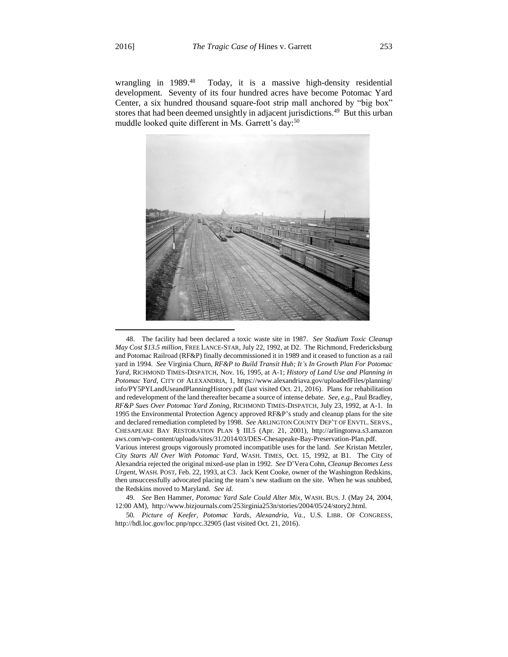l

wrangling in 1989.<sup>48</sup> Today, it is a massive high-density residential development. Seventy of its four hundred acres have become Potomac Yard Center, a six hundred thousand square-foot strip mall anchored by "big box" stores that had been deemed unsightly in adjacent jurisdictions.<sup>49</sup> But this urban muddle looked quite different in Ms. Garrett's day:<sup>50</sup>



<sup>48.</sup> The facility had been declared a toxic waste site in 1987. *See Stadium Toxic Cleanup May Cost \$13.5 million*, FREE LANCE-STAR, July 22, 1992, at D2. The Richmond, Fredericksburg and Potomac Railroad (RF&P) finally decommissioned it in 1989 and it ceased to function as a rail yard in 1994. *See* Virginia Churn, *RF&P to Build Transit Hub; It's In Growth Plan For Potomac Yard*, RICHMOND TIMES-DISPATCH, Nov. 16, 1995, at A-1; *History of Land Use and Planning in Potomac Yard*, CITY OF ALEXANDRIA, 1, https://www.alexandriava.gov/uploadedFiles/planning/ info/PY5PYLandUseandPlanningHistory.pdf (last visited Oct. 21, 2016). Plans for rehabilitation and redevelopment of the land thereafter became a source of intense debate. *See, e.g.*, Paul Bradley, *RF&P Sues Over Potomac Yard Zoning*, RICHMOND TIMES-DISPATCH, July 23, 1992, at A-1. In 1995 the Environmental Protection Agency approved RF&P's study and cleanup plans for the site and declared remediation completed by 1998. *See* ARLINGTON COUNTY DEP'T OF ENVTL. SERVS., CHESAPEAKE BAY RESTORATION PLAN § III.5 (Apr. 21, 2001), http://arlingtonva.s3.amazon aws.com/wp-content/uploads/sites/31/2014/03/DES-Chesapeake-Bay-Preservation-Plan.pdf. Various interest groups vigorously promoted incompatible uses for the land. *See* Kristan Metzler, *City Starts All Over With Potomac Yard*, WASH. TIMES, Oct. 15, 1992, at B1. The City of

50*. Picture of Keefer, Potomac Yards, Alexandria, Va.*, U.S. LIBR. OF CONGRESS, http://hdl.loc.gov/loc.pnp/npcc.32905 (last visited Oct. 21, 2016).

Alexandria rejected the original mixed-use plan in 1992. *See* D'Vera Cohn, *Cleanup Becomes Less Urgent*, WASH. POST, Feb. 22, 1993, at C3. Jack Kent Cooke, owner of the Washington Redskins, then unsuccessfully advocated placing the team's new stadium on the site. When he was snubbed, the Redskins moved to Maryland. *See id.*

<sup>49</sup>*. See* Ben Hammer, *Potomac Yard Sale Could Alter Mix*, WASH. BUS. J. (May 24, 2004, 12:00 AM), http://www.bizjournals.com/253irginia253n/stories/2004/05/24/story2.html.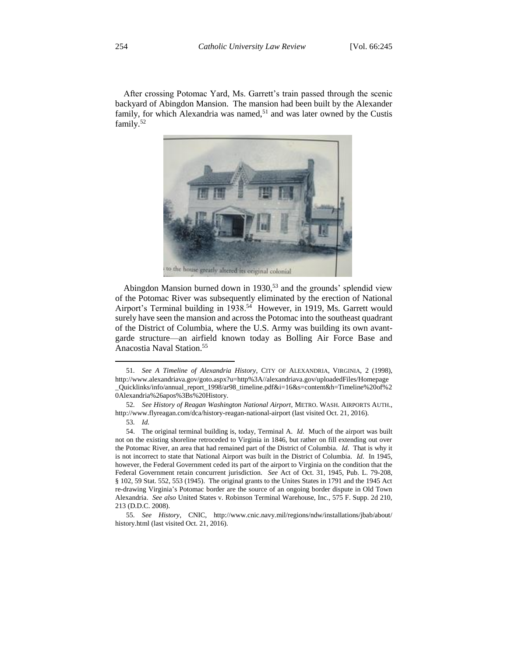After crossing Potomac Yard, Ms. Garrett's train passed through the scenic backyard of Abingdon Mansion. The mansion had been built by the Alexander family, for which Alexandria was named,<sup>51</sup> and was later owned by the Custis family.<sup>52</sup>



Abingdon Mansion burned down in 1930,<sup>53</sup> and the grounds' splendid view of the Potomac River was subsequently eliminated by the erection of National Airport's Terminal building in 1938.<sup>54</sup> However, in 1919, Ms. Garrett would surely have seen the mansion and across the Potomac into the southeast quadrant of the District of Columbia, where the U.S. Army was building its own avantgarde structure—an airfield known today as Bolling Air Force Base and Anacostia Naval Station.<sup>55</sup>

<sup>51</sup>*. See A Timeline of Alexandria History*, CITY OF ALEXANDRIA, VIRGINIA, 2 (1998), http://www.alexandriava.gov/goto.aspx?u=http%3A//alexandriava.gov/uploadedFiles/Homepage \_Quicklinks/info/annual\_report\_1998/ar98\_timeline.pdf&i=16&s=content&h=Timeline%20of%2 0Alexandria%26apos%3Bs%20History.

<sup>52</sup>*. See History of Reagan Washington National Airport*, METRO. WASH. AIRPORTS AUTH., http://www.flyreagan.com/dca/history-reagan-national-airport (last visited Oct. 21, 2016).

<sup>53</sup>*. Id.*

<sup>54.</sup> The original terminal building is, today, Terminal A. *Id.* Much of the airport was built not on the existing shoreline retroceded to Virginia in 1846, but rather on fill extending out over the Potomac River, an area that had remained part of the District of Columbia. *Id.* That is why it is not incorrect to state that National Airport was built in the District of Columbia. *Id.* In 1945, however, the Federal Government ceded its part of the airport to Virginia on the condition that the Federal Government retain concurrent jurisdiction. *See* Act of Oct. 31, 1945, Pub. L. 79-208, § 102, 59 Stat. 552, 553 (1945). The original grants to the Unites States in 1791 and the 1945 Act re-drawing Virginia's Potomac border are the source of an ongoing border dispute in Old Town Alexandria. *See also* United States v. Robinson Terminal Warehouse, Inc., 575 F. Supp. 2d 210, 213 (D.D.C. 2008).

<sup>55</sup>*. See History*, CNIC, http://www.cnic.navy.mil/regions/ndw/installations/jbab/about/ history.html (last visited Oct. 21, 2016).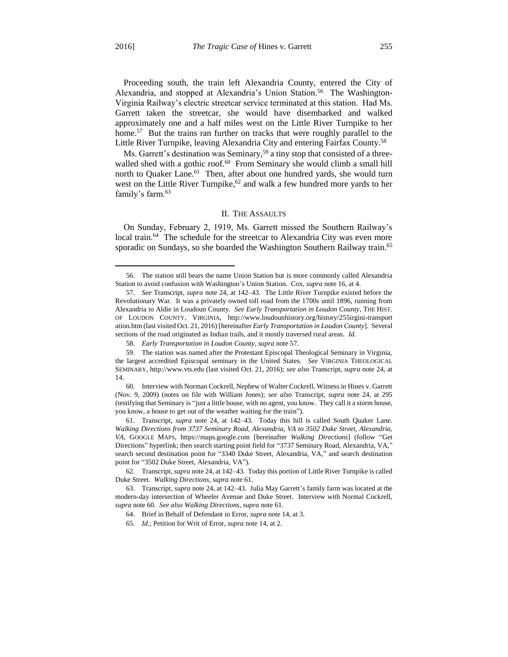$\overline{\phantom{a}}$ 

Proceeding south, the train left Alexandria County, entered the City of Alexandria, and stopped at Alexandria's Union Station.<sup>56</sup> The Washington-Virginia Railway's electric streetcar service terminated at this station. Had Ms. Garrett taken the streetcar, she would have disembarked and walked approximately one and a half miles west on the Little River Turnpike to her home.<sup>57</sup> But the trains ran further on tracks that were roughly parallel to the Little River Turnpike, leaving Alexandria City and entering Fairfax County.<sup>58</sup>

Ms. Garrett's destination was Seminary,<sup>59</sup> a tiny stop that consisted of a threewalled shed with a gothic roof.<sup>60</sup> From Seminary she would climb a small hill north to Quaker Lane.<sup>61</sup> Then, after about one hundred yards, she would turn west on the Little River Turnpike,<sup>62</sup> and walk a few hundred more vards to her family's farm.<sup>63</sup>

#### II. THE ASSAULTS

On Sunday, February 2, 1919, Ms. Garrett missed the Southern Railway's local train.<sup>64</sup> The schedule for the streetcar to Alexandria City was even more sporadic on Sundays, so she boarded the Washington Southern Railway train.<sup>65</sup>

<sup>56.</sup> The station still bears the name Union Station but is more commonly called Alexandria Station to avoid confusion with Washington's Union Station. Cox, *supra* note 16, at 4.

<sup>57</sup>*. See* Transcript, *supra* note 24, at 142–43. The Little River Turnpike existed before the Revolutionary War. It was a privately owned toll road from the 1700s until 1896, running from Alexandria to Aldie in Loudoun County. *See Early Transportation in Loudon County*, THE HIST. OF LOUDON COUNTY, VIRGINIA, http://www.loudounhistory.org/history/255irgini-transport ation.htm (last visited Oct. 21, 2016) [hereinafter *Early Transportation in Loudon County*]. Several sections of the road originated as Indian trails, and it mostly traversed rural areas. *Id.*

<sup>58</sup>*. Early Transportation in Loudon County*, *supra* note 57.

<sup>59.</sup> The station was named after the Protestant Episcopal Theological Seminary in Virginia, the largest accredited Episcopal seminary in the United States. *See* VIRGINIA THEOLOGICAL SEMINARY, http://www.vts.edu (last visited Oct. 21, 2016); *see also* Transcript, *supra* note 24, at 14.

<sup>60.</sup> Interview with Norman Cockrell, Nephew of Walter Cockrell, Witness in Hines v. Garrett (Nov. 9, 2009) (notes on file with William Jones); *see also* Transcript, *supra* note 24, at 295 (testifying that Seminary is "just a little house, with no agent, you know. They call it a storm house, you know, a house to get out of the weather waiting for the train").

<sup>61.</sup> Transcript, *supra* note 24, at 142–43. Today this hill is called South Quaker Lane. *Walking Directions from 3737 Seminary Road, Alexandria, VA to 3502 Duke Street, Alexandria, VA*, GOOGLE MAPS, https://maps.google.com [hereinafter *Walking Directions*] (follow "Get Directions" hyperlink; then search starting point field for "3737 Seminary Road, Alexandria, VA," search second destination point for "3340 Duke Street, Alexandria, VA," and search destination point for "3502 Duke Street, Alexandria, VA").

<sup>62.</sup> Transcript, *supra* note 24, at 142–43. Today this portion of Little River Turnpike is called Duke Street. *Walking Directions*, *supra* note 61.

<sup>63.</sup> Transcript, *supra* note 24, at 142–43. Julia May Garrett's family farm was located at the modern-day intersection of Wheeler Avenue and Duke Street. Interview with Normal Cockrell, *supra* note 60. *See also Walking Directions*, *supra* note 61.

<sup>64.</sup> Brief in Behalf of Defendant in Error, *supra* note 14, at 3.

<sup>65</sup>*. Id.*; Petition for Writ of Error, *supra* note 14, at 2.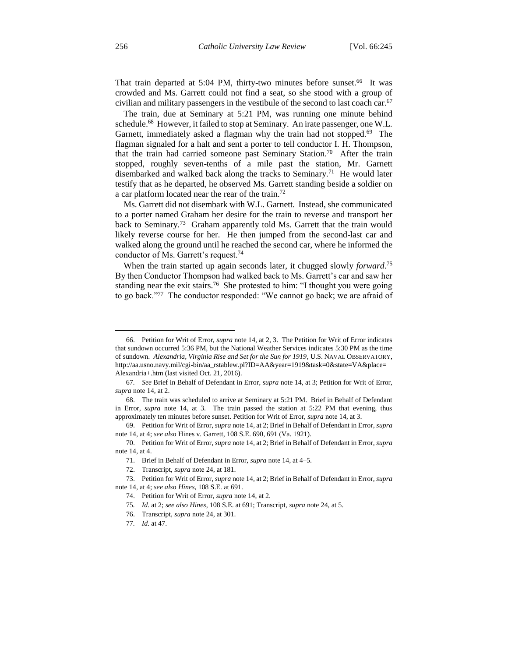That train departed at 5:04 PM, thirty-two minutes before sunset.<sup>66</sup> It was crowded and Ms. Garrett could not find a seat, so she stood with a group of civilian and military passengers in the vestibule of the second to last coach car. 67

The train, due at Seminary at 5:21 PM, was running one minute behind schedule.<sup>68</sup> However, it failed to stop at Seminary. An irate passenger, one W.L. Garnett, immediately asked a flagman why the train had not stopped.<sup>69</sup> The flagman signaled for a halt and sent a porter to tell conductor I. H. Thompson, that the train had carried someone past Seminary Station.<sup>70</sup> After the train stopped, roughly seven-tenths of a mile past the station, Mr. Garnett disembarked and walked back along the tracks to Seminary.<sup>71</sup> He would later testify that as he departed, he observed Ms. Garrett standing beside a soldier on a car platform located near the rear of the train.<sup>72</sup>

Ms. Garrett did not disembark with W.L. Garnett. Instead, she communicated to a porter named Graham her desire for the train to reverse and transport her back to Seminary.<sup>73</sup> Graham apparently told Ms. Garrett that the train would likely reverse course for her. He then jumped from the second-last car and walked along the ground until he reached the second car, where he informed the conductor of Ms. Garrett's request.<sup>74</sup>

When the train started up again seconds later, it chugged slowly *forward*. 75 By then Conductor Thompson had walked back to Ms. Garrett's car and saw her standing near the exit stairs.<sup>76</sup> She protested to him: "I thought you were going to go back."<sup>77</sup> The conductor responded: "We cannot go back; we are afraid of

<sup>66.</sup> Petition for Writ of Error, *supra* note 14, at 2, 3. The Petition for Writ of Error indicates that sundown occurred 5:36 PM, but the National Weather Services indicates 5:30 PM as the time of sundown. *Alexandria, Virginia Rise and Set for the Sun for 1919*, U.S. NAVAL OBSERVATORY, http://aa.usno.navy.mil/cgi-bin/aa\_rstablew.pl?ID=AA&year=1919&task=0&state=VA&place= Alexandria+.htm (last visited Oct. 21, 2016).

<sup>67</sup>*. See* Brief in Behalf of Defendant in Error, *supra* note 14, at 3; Petition for Writ of Error, *supra* note 14, at 2.

<sup>68.</sup> The train was scheduled to arrive at Seminary at 5:21 PM. Brief in Behalf of Defendant in Error, *supra* note 14, at 3. The train passed the station at 5:22 PM that evening, thus approximately ten minutes before sunset. Petition for Writ of Error, *supra* note 14, at 3.

<sup>69.</sup> Petition for Writ of Error, *supra* note 14, at 2; Brief in Behalf of Defendant in Error, *supra* note 14, at 4; *see also* Hines v. Garrett, 108 S.E. 690, 691 (Va. 1921).

<sup>70.</sup> Petition for Writ of Error, *supra* note 14, at 2; Brief in Behalf of Defendant in Error, *supra* note 14, at 4.

<sup>71.</sup> Brief in Behalf of Defendant in Error, *supra* note 14, at 4–5.

<sup>72.</sup> Transcript, *supra* note 24, at 181.

<sup>73.</sup> Petition for Writ of Error, *supra* note 14, at 2; Brief in Behalf of Defendant in Error, *supra* note 14, at 4; *see also Hines*, 108 S.E. at 691.

<sup>74.</sup> Petition for Writ of Error, *supra* note 14, at 2.

<sup>75</sup>*. Id.* at 2; *see also Hines*, 108 S.E. at 691; Transcript, *supra* note 24, at 5.

<sup>76.</sup> Transcript, *supra* note 24, at 301.

<sup>77</sup>*. Id.* at 47.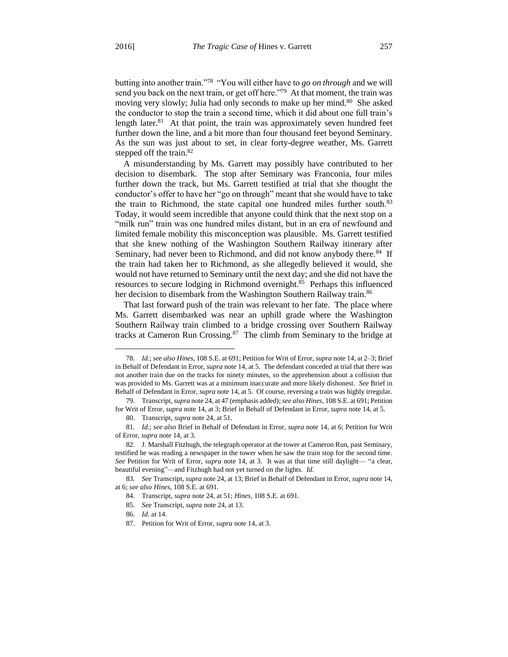butting into another train."<sup>78</sup> "You will either have to *go on through* and we will send you back on the next train, or get off here."<sup>79</sup> At that moment, the train was moving very slowly; Julia had only seconds to make up her mind.<sup>80</sup> She asked the conductor to stop the train a second time, which it did about one full train's length later. $81$  At that point, the train was approximately seven hundred feet further down the line, and a bit more than four thousand feet beyond Seminary. As the sun was just about to set, in clear forty-degree weather, Ms. Garrett stepped off the train.<sup>82</sup>

A misunderstanding by Ms. Garrett may possibly have contributed to her decision to disembark. The stop after Seminary was Franconia, four miles further down the track, but Ms. Garrett testified at trial that she thought the conductor's offer to have her "go on through" meant that she would have to take the train to Richmond, the state capital one hundred miles further south.<sup>83</sup> Today, it would seem incredible that anyone could think that the next stop on a "milk run" train was one hundred miles distant, but in an era of newfound and limited female mobility this misconception was plausible. Ms. Garrett testified that she knew nothing of the Washington Southern Railway itinerary after Seminary, had never been to Richmond, and did not know anybody there.<sup>84</sup> If the train had taken her to Richmond, as she allegedly believed it would, she would not have returned to Seminary until the next day; and she did not have the resources to secure lodging in Richmond overnight.<sup>85</sup> Perhaps this influenced her decision to disembark from the Washington Southern Railway train.<sup>86</sup>

That last forward push of the train was relevant to her fate. The place where Ms. Garrett disembarked was near an uphill grade where the Washington Southern Railway train climbed to a bridge crossing over Southern Railway tracks at Cameron Run Crossing.<sup>87</sup> The climb from Seminary to the bridge at

<sup>78</sup>*. Id.*; *see also Hines*, 108 S.E. at 691; Petition for Writ of Error, *supra* note 14, at 2–3; Brief in Behalf of Defendant in Error, *supra* note 14, at 5. The defendant conceded at trial that there was not another train due on the tracks for ninety minutes, so the apprehension about a collision that was provided to Ms. Garrett was at a minimum inaccurate and more likely dishonest. *See* Brief in Behalf of Defendant in Error, *supra* note 14, at 5. Of course, reversing a train was highly irregular.

<sup>79.</sup> Transcript, *supra* note 24, at 47 (emphasis added); *see also Hines*, 108 S.E. at 691; Petition for Writ of Error, *supra* note 14, at 3; Brief in Behalf of Defendant in Error, *supra* note 14, at 5.

<sup>80.</sup> Transcript, *supra* note 24, at 51.

<sup>81</sup>*. Id.*; *see also* Brief in Behalf of Defendant in Error, *supra* note 14, at 6; Petition for Writ of Error, *supra* note 14, at 3.

<sup>82.</sup> J. Marshall Fitzhugh, the telegraph operator at the tower at Cameron Run, past Seminary, testified he was reading a newspaper in the tower when he saw the train stop for the second time. *See* Petition for Writ of Error, *supra* note 14, at 3. It was at that time still daylight— "a clear, beautiful evening"—and Fitzhugh had not yet turned on the lights. *Id.*

<sup>83</sup>*. See* Transcript, *supra* note 24, at 13; Brief in Behalf of Defendant in Error, *supra* note 14, at 6; *see also Hines*, 108 S.E. at 691.

<sup>84.</sup> Transcript, *supra* note 24, at 51; *Hines*, 108 S.E. at 691.

<sup>85</sup>*. See* Transcript, *supra* note 24, at 13.

<sup>86</sup>*. Id.* at 14.

<sup>87.</sup> Petition for Writ of Error, *supra* note 14, at 3.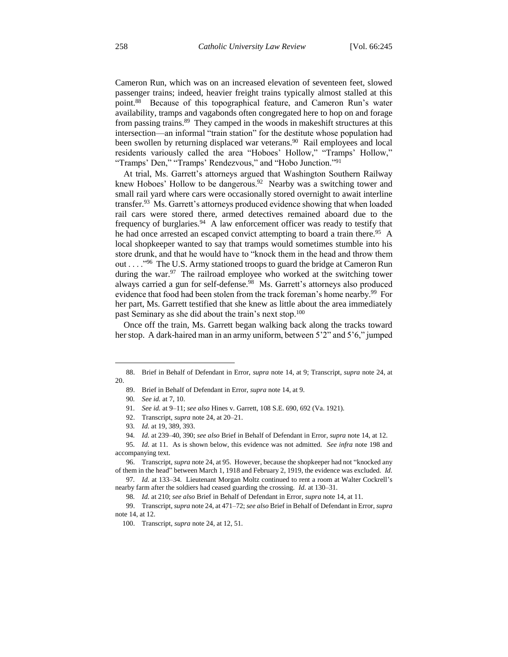Cameron Run, which was on an increased elevation of seventeen feet, slowed passenger trains; indeed, heavier freight trains typically almost stalled at this point.<sup>88</sup> Because of this topographical feature, and Cameron Run's water availability, tramps and vagabonds often congregated here to hop on and forage from passing trains.<sup>89</sup> They camped in the woods in makeshift structures at this intersection—an informal "train station" for the destitute whose population had been swollen by returning displaced war veterans.<sup>90</sup> Rail employees and local residents variously called the area "Hoboes' Hollow," "Tramps' Hollow," "Tramps' Den," "Tramps' Rendezvous," and "Hobo Junction."<sup>91</sup>

At trial, Ms. Garrett's attorneys argued that Washington Southern Railway knew Hoboes' Hollow to be dangerous.<sup>92</sup> Nearby was a switching tower and small rail yard where cars were occasionally stored overnight to await interline transfer.<sup>93</sup> Ms. Garrett's attorneys produced evidence showing that when loaded rail cars were stored there, armed detectives remained aboard due to the frequency of burglaries.<sup>94</sup> A law enforcement officer was ready to testify that he had once arrested an escaped convict attempting to board a train there.<sup>95</sup> A local shopkeeper wanted to say that tramps would sometimes stumble into his store drunk, and that he would have to "knock them in the head and throw them out . . . . . . . . . . . . . The U.S. Army stationed troops to guard the bridge at Cameron Run during the war.<sup>97</sup> The railroad employee who worked at the switching tower always carried a gun for self-defense.<sup>98</sup> Ms. Garrett's attorneys also produced evidence that food had been stolen from the track foreman's home nearby.<sup>99</sup> For her part, Ms. Garrett testified that she knew as little about the area immediately past Seminary as she did about the train's next stop.<sup>100</sup>

Once off the train, Ms. Garrett began walking back along the tracks toward her stop. A dark-haired man in an army uniform, between 5'2" and 5'6," jumped

 $\overline{\phantom{a}}$ 

97*. Id.* at 133–34. Lieutenant Morgan Moltz continued to rent a room at Walter Cockrell's nearby farm after the soldiers had ceased guarding the crossing. *Id.* at 130–31.

<sup>88.</sup> Brief in Behalf of Defendant in Error, *supra* note 14, at 9; Transcript, *supra* note 24, at 20.

<sup>89.</sup> Brief in Behalf of Defendant in Error, *supra* note 14, at 9.

<sup>90</sup>*. See id.* at 7, 10.

<sup>91</sup>*. See id.* at 9–11; *see also* Hines v. Garrett, 108 S.E. 690, 692 (Va. 1921).

<sup>92.</sup> Transcript, *supra* note 24, at 20–21.

<sup>93</sup>*. Id.* at 19, 389, 393.

<sup>94</sup>*. Id.* at 239–40, 390; *see also* Brief in Behalf of Defendant in Error, *supra* note 14, at 12.

<sup>95</sup>*. Id.* at 11. As is shown below, this evidence was not admitted. *See infra* note 198 and accompanying text.

<sup>96.</sup> Transcript, *supra* note 24, at 95. However, because the shopkeeper had not "knocked any of them in the head" between March 1, 1918 and February 2, 1919, the evidence was excluded. *Id.*

<sup>98</sup>*. Id.* at 210; *see also* Brief in Behalf of Defendant in Error, *supra* note 14, at 11.

<sup>99.</sup> Transcript, *supra* note 24, at 471–72; *see also* Brief in Behalf of Defendant in Error, *supra* note 14, at 12.

<sup>100.</sup> Transcript, *supra* note 24, at 12, 51.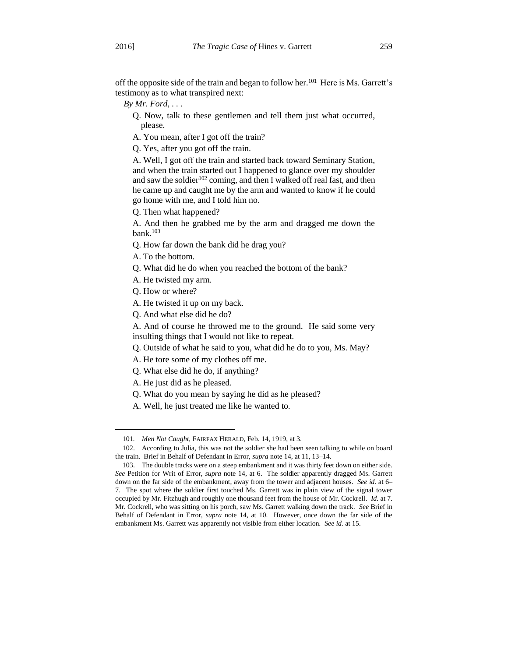off the opposite side of the train and began to follow her.<sup>101</sup> Here is Ms. Garrett's testimony as to what transpired next:

- *By Mr. Ford, . . .*
	- Q. Now, talk to these gentlemen and tell them just what occurred, please.
	- A. You mean, after I got off the train?

Q. Yes, after you got off the train.

A. Well, I got off the train and started back toward Seminary Station, and when the train started out I happened to glance over my shoulder and saw the soldier<sup>102</sup> coming, and then I walked off real fast, and then he came up and caught me by the arm and wanted to know if he could go home with me, and I told him no.

Q. Then what happened?

A. And then he grabbed me by the arm and dragged me down the bank.<sup>103</sup>

Q. How far down the bank did he drag you?

A. To the bottom.

- Q. What did he do when you reached the bottom of the bank?
- A. He twisted my arm.
- Q. How or where?

A. He twisted it up on my back.

Q. And what else did he do?

A. And of course he throwed me to the ground. He said some very insulting things that I would not like to repeat.

- Q. Outside of what he said to you, what did he do to you, Ms. May?
- A. He tore some of my clothes off me.
- Q. What else did he do, if anything?

A. He just did as he pleased.

- Q. What do you mean by saying he did as he pleased?
- A. Well, he just treated me like he wanted to.

<sup>101</sup>*. Men Not Caught*, FAIRFAX HERALD, Feb. 14, 1919, at 3.

<sup>102.</sup> According to Julia, this was not the soldier she had been seen talking to while on board the train. Brief in Behalf of Defendant in Error, *supra* note 14, at 11, 13–14.

<sup>103.</sup> The double tracks were on a steep embankment and it was thirty feet down on either side. *See* Petition for Writ of Error, *supra* note 14, at 6. The soldier apparently dragged Ms. Garrett down on the far side of the embankment, away from the tower and adjacent houses. *See id.* at 6– 7. The spot where the soldier first touched Ms. Garrett was in plain view of the signal tower occupied by Mr. Fitzhugh and roughly one thousand feet from the house of Mr. Cockrell. *Id.* at 7. Mr. Cockrell, who was sitting on his porch, saw Ms. Garrett walking down the track. *See* Brief in Behalf of Defendant in Error, *supra* note 14, at 10. However, once down the far side of the embankment Ms. Garrett was apparently not visible from either location. *See id.* at 15.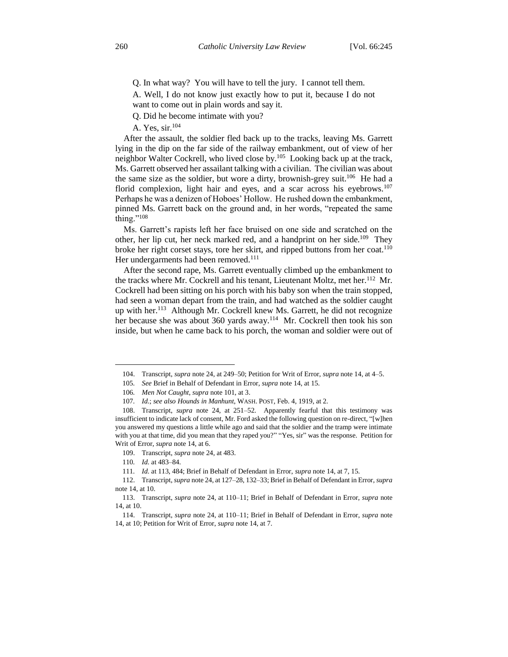Q. In what way? You will have to tell the jury. I cannot tell them.

A. Well, I do not know just exactly how to put it, because I do not want to come out in plain words and say it.

Q. Did he become intimate with you?

A. Yes, sir.<sup>104</sup>

After the assault, the soldier fled back up to the tracks, leaving Ms. Garrett lying in the dip on the far side of the railway embankment, out of view of her neighbor Walter Cockrell, who lived close by.<sup>105</sup> Looking back up at the track, Ms. Garrett observed her assailant talking with a civilian. The civilian was about the same size as the soldier, but wore a dirty, brownish-grey suit.<sup>106</sup> He had a florid complexion, light hair and eyes, and a scar across his eyebrows.<sup>107</sup> Perhaps he was a denizen of Hoboes' Hollow. He rushed down the embankment, pinned Ms. Garrett back on the ground and, in her words, "repeated the same thing." $108$ 

Ms. Garrett's rapists left her face bruised on one side and scratched on the other, her lip cut, her neck marked red, and a handprint on her side.<sup>109</sup> They broke her right corset stays, tore her skirt, and ripped buttons from her coat.<sup>110</sup> Her undergarments had been removed.<sup>111</sup>

After the second rape, Ms. Garrett eventually climbed up the embankment to the tracks where Mr. Cockrell and his tenant, Lieutenant Moltz, met her.<sup>112</sup> Mr. Cockrell had been sitting on his porch with his baby son when the train stopped, had seen a woman depart from the train, and had watched as the soldier caught up with her.<sup>113</sup> Although Mr. Cockrell knew Ms. Garrett, he did not recognize her because she was about 360 yards away.<sup>114</sup> Mr. Cockrell then took his son inside, but when he came back to his porch, the woman and soldier were out of

<sup>104.</sup> Transcript, *supra* note 24, at 249–50; Petition for Writ of Error, *supra* note 14, at 4–5.

<sup>105</sup>*. See* Brief in Behalf of Defendant in Error, *supra* note 14, at 15.

<sup>106</sup>*. Men Not Caught*, *supra* note 101, at 3.

<sup>107</sup>*. Id.*; *see also Hounds in Manhunt*, WASH. POST, Feb. 4, 1919, at 2.

<sup>108.</sup> Transcript, *supra* note 24, at 251–52. Apparently fearful that this testimony was insufficient to indicate lack of consent, Mr. Ford asked the following question on re-direct, "[w]hen you answered my questions a little while ago and said that the soldier and the tramp were intimate with you at that time, did you mean that they raped you?" "Yes, sir" was the response. Petition for Writ of Error, *supra* note 14, at 6.

<sup>109.</sup> Transcript, *supra* note 24, at 483.

<sup>110</sup>*. Id.* at 483–84.

<sup>111</sup>*. Id.* at 113, 484; Brief in Behalf of Defendant in Error, *supra* note 14, at 7, 15.

<sup>112.</sup> Transcript, *supra* note 24, at 127–28, 132–33; Brief in Behalf of Defendant in Error, *supra* note 14, at 10.

<sup>113.</sup> Transcript, *supra* note 24, at 110–11; Brief in Behalf of Defendant in Error, *supra* note 14, at 10.

<sup>114.</sup> Transcript, *supra* note 24, at 110–11; Brief in Behalf of Defendant in Error, *supra* note 14, at 10; Petition for Writ of Error, *supra* note 14, at 7.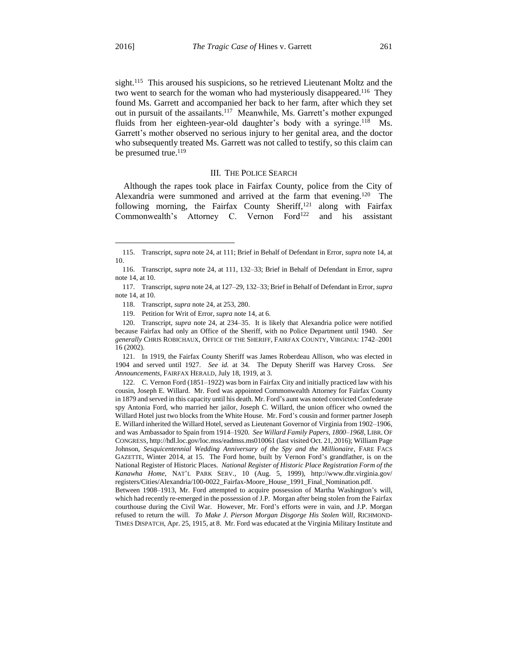sight.<sup>115</sup> This aroused his suspicions, so he retrieved Lieutenant Moltz and the two went to search for the woman who had mysteriously disappeared.<sup>116</sup> They found Ms. Garrett and accompanied her back to her farm, after which they set out in pursuit of the assailants.<sup>117</sup> Meanwhile, Ms. Garrett's mother expunged fluids from her eighteen-year-old daughter's body with a syringe.<sup>118</sup> Ms. Garrett's mother observed no serious injury to her genital area, and the doctor who subsequently treated Ms. Garrett was not called to testify, so this claim can be presumed true.<sup>119</sup>

#### III. THE POLICE SEARCH

Although the rapes took place in Fairfax County, police from the City of Alexandria were summoned and arrived at the farm that evening.<sup>120</sup> The following morning, the Fairfax County Sheriff, $121$  along with Fairfax Commonwealth's Attorney C. Vernon Ford<sup>122</sup> and his assistant

121. In 1919, the Fairfax County Sheriff was James Roberdeau Allison, who was elected in 1904 and served until 1927. *See id.* at 34. The Deputy Sheriff was Harvey Cross. *See Announcements*, FAIRFAX HERALD, July 18, 1919, at 3.

122. C. Vernon Ford (1851–1922) was born in Fairfax City and initially practiced law with his cousin, Joseph E. Willard. Mr. Ford was appointed Commonwealth Attorney for Fairfax County in 1879 and served in this capacity until his death. Mr. Ford's aunt was noted convicted Confederate spy Antonia Ford, who married her jailor, Joseph C. Willard, the union officer who owned the Willard Hotel just two blocks from the White House. Mr. Ford's cousin and former partner Joseph E. Willard inherited the Willard Hotel, served as Lieutenant Governor of Virginia from 1902–1906, and was Ambassador to Spain from 1914–1920. *See Willard Family Papers, 1800–1968*, LIBR. OF CONGRESS, http://hdl.loc.gov/loc.mss/eadmss.ms010061 (last visited Oct. 21, 2016); William Page Johnson, *Sesquicentennial Wedding Anniversary of the Spy and the Millionaire*, FARE FACS GAZETTE, Winter 2014, at 15. The Ford home, built by Vernon Ford's grandfather, is on the National Register of Historic Places. *National Register of Historic Place Registration Form of the Kanawha Home*, NAT'L PARK SERV., 10 (Aug. 5, 1999), http://www.dhr.virginia.gov/ registers/Cities/Alexandria/100-0022\_Fairfax-Moore\_House\_1991\_Final\_Nomination.pdf.

Between 1908–1913, Mr. Ford attempted to acquire possession of Martha Washington's will, which had recently re-emerged in the possession of J.P. Morgan after being stolen from the Fairfax courthouse during the Civil War. However, Mr. Ford's efforts were in vain, and J.P. Morgan refused to return the will. *To Make J. Pierson Morgan Disgorge His Stolen Will*, RICHMOND-TIMES DISPATCH, Apr. 25, 1915, at 8. Mr. Ford was educated at the Virginia Military Institute and

<sup>115.</sup> Transcript, *supra* note 24, at 111; Brief in Behalf of Defendant in Error, *supra* note 14, at 10.

<sup>116.</sup> Transcript, *supra* note 24, at 111, 132–33; Brief in Behalf of Defendant in Error, *supra* note 14, at 10.

<sup>117.</sup> Transcript, *supra* note 24, at 127–29, 132–33; Brief in Behalf of Defendant in Error, *supra* note 14, at 10.

<sup>118.</sup> Transcript, *supra* note 24, at 253, 280.

<sup>119.</sup> Petition for Writ of Error, *supra* note 14, at 6.

<sup>120.</sup> Transcript, *supra* note 24, at 234–35. It is likely that Alexandria police were notified because Fairfax had only an Office of the Sheriff, with no Police Department until 1940. *See generally* CHRIS ROBICHAUX, OFFICE OF THE SHERIFF, FAIRFAX COUNTY, VIRGINIA: 1742–2001 16 (2002).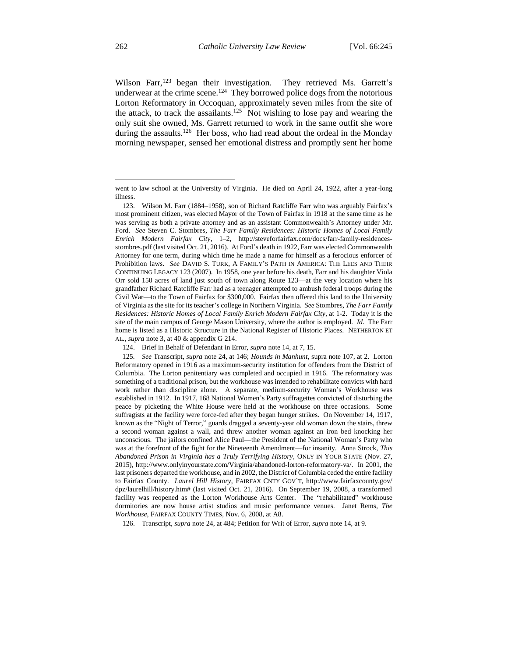Wilson Farr,<sup>123</sup> began their investigation. They retrieved Ms. Garrett's underwear at the crime scene.<sup>124</sup> They borrowed police dogs from the notorious Lorton Reformatory in Occoquan, approximately seven miles from the site of the attack, to track the assailants.<sup>125</sup> Not wishing to lose pay and wearing the only suit she owned, Ms. Garrett returned to work in the same outfit she wore during the assaults.<sup>126</sup> Her boss, who had read about the ordeal in the Monday morning newspaper, sensed her emotional distress and promptly sent her home

126. Transcript, *supra* note 24, at 484; Petition for Writ of Error, *supra* note 14, at 9.

went to law school at the University of Virginia. He died on April 24, 1922, after a year-long illness.

<sup>123.</sup> Wilson M. Farr (1884–1958), son of Richard Ratcliffe Farr who was arguably Fairfax's most prominent citizen, was elected Mayor of the Town of Fairfax in 1918 at the same time as he was serving as both a private attorney and as an assistant Commonwealth's Attorney under Mr. Ford. *See* Steven C. Stombres, *The Farr Family Residences: Historic Homes of Local Family Enrich Modern Fairfax City*, 1–2, http://steveforfairfax.com/docs/farr-family-residencesstombres.pdf (last visited Oct. 21, 2016). At Ford's death in 1922, Farr was elected Commonwealth Attorney for one term, during which time he made a name for himself as a ferocious enforcer of Prohibition laws. *See* DAVID S. TURK, A FAMILY'S PATH IN AMERICA: THE LEES AND THEIR CONTINUING LEGACY 123 (2007). In 1958, one year before his death, Farr and his daughter Viola Orr sold 150 acres of land just south of town along Route 123—at the very location where his grandfather Richard Ratcliffe Farr had as a teenager attempted to ambush federal troops during the Civil War—to the Town of Fairfax for \$300,000. Fairfax then offered this land to the University of Virginia as the site for its teacher's college in Northern Virginia. *See* Stombres, *The Farr Family Residences: Historic Homes of Local Family Enrich Modern Fairfax City*, at 1-2. Today it is the site of the main campus of George Mason University, where the author is employed. *Id.* The Farr home is listed as a Historic Structure in the National Register of Historic Places. NETHERTON ET AL., *supra* note 3, at 40 & appendix G 214.

<sup>124.</sup> Brief in Behalf of Defendant in Error, *supra* note 14, at 7, 15.

<sup>125</sup>*. See* Transcript, *supra* note 24, at 146; *Hounds in Manhunt*, supra note 107, at 2. Lorton Reformatory opened in 1916 as a maximum-security institution for offenders from the District of Columbia. The Lorton penitentiary was completed and occupied in 1916. The reformatory was something of a traditional prison, but the workhouse was intended to rehabilitate convicts with hard work rather than discipline alone. A separate, medium-security Woman's Workhouse was established in 1912. In 1917, 168 National Women's Party suffragettes convicted of disturbing the peace by picketing the White House were held at the workhouse on three occasions. Some suffragists at the facility were force-fed after they began hunger strikes. On November 14, 1917, known as the "Night of Terror," guards dragged a seventy-year old woman down the stairs, threw a second woman against a wall, and threw another woman against an iron bed knocking her unconscious. The jailors confined Alice Paul—the President of the National Woman's Party who was at the forefront of the fight for the Nineteenth Amendment—for insanity. Anna Strock, *This Abandoned Prison in Virginia has a Truly Terrifying History*, ONLY IN YOUR STATE (Nov. 27, 2015), http://www.onlyinyourstate.com/Virginia/abandoned-lorton-reformatory-va/. In 2001, the last prisoners departed the workhouse, and in 2002, the District of Columbia ceded the entire facility to Fairfax County. *Laurel Hill History*, FAIRFAX CNTY GOV'T, http://www.fairfaxcounty.gov/ dpz/laurelhill/history.htm# (last visited Oct. 21, 2016). On September 19, 2008, a transformed facility was reopened as the Lorton Workhouse Arts Center. The "rehabilitated" workhouse dormitories are now house artist studios and music performance venues. Janet Rems, *The Workhouse*, FAIRFAX COUNTY TIMES, Nov. 6, 2008, at A8.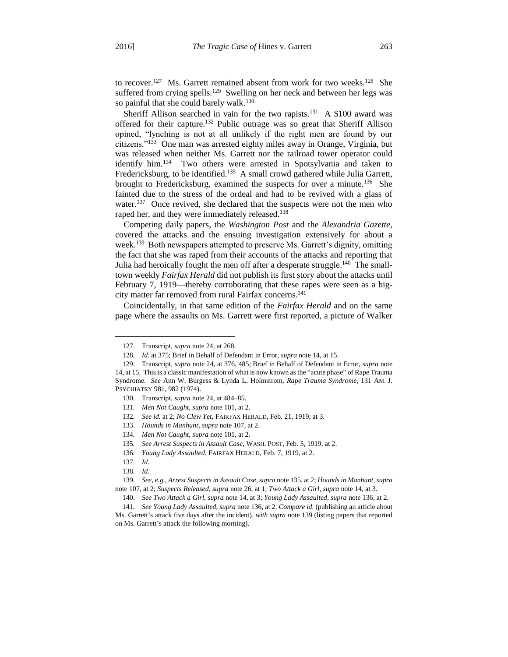to recover.<sup>127</sup> Ms. Garrett remained absent from work for two weeks.<sup>128</sup> She suffered from crying spells.<sup>129</sup> Swelling on her neck and between her legs was so painful that she could barely walk.<sup>130</sup>

Sheriff Allison searched in vain for the two rapists.<sup>131</sup> A \$100 award was offered for their capture.<sup>132</sup> Public outrage was so great that Sheriff Allison opined, "lynching is not at all unlikely if the right men are found by our citizens."<sup>133</sup> One man was arrested eighty miles away in Orange, Virginia, but was released when neither Ms. Garrett nor the railroad tower operator could identify him.<sup>134</sup> Two others were arrested in Spotsylvania and taken to Fredericksburg, to be identified.<sup>135</sup> A small crowd gathered while Julia Garrett, brought to Fredericksburg, examined the suspects for over a minute.<sup>136</sup> She fainted due to the stress of the ordeal and had to be revived with a glass of water.<sup>137</sup> Once revived, she declared that the suspects were not the men who raped her, and they were immediately released.<sup>138</sup>

Competing daily papers, the *Washington Post* and the *Alexandria Gazette*, covered the attacks and the ensuing investigation extensively for about a week.<sup>139</sup> Both newspapers attempted to preserve Ms. Garrett's dignity, omitting the fact that she was raped from their accounts of the attacks and reporting that Julia had heroically fought the men off after a desperate struggle.<sup>140</sup> The smalltown weekly *Fairfax Herald* did not publish its first story about the attacks until February 7, 1919—thereby corroborating that these rapes were seen as a bigcity matter far removed from rural Fairfax concerns.<sup>141</sup>

Coincidentally, in that same edition of the *Fairfax Herald* and on the same page where the assaults on Ms. Garrett were first reported, a picture of Walker

<sup>127.</sup> Transcript, *supra* note 24, at 268.

<sup>128</sup>*. Id.* at 375; Brief in Behalf of Defendant in Error, *supra* note 14, at 15.

<sup>129.</sup> Transcript, *supra* note 24, at 376, 485; Brief in Behalf of Defendant in Error, *supra* note 14, at 15. This is a classic manifestation of what is now known as the "acute phase" of Rape Trauma Syndrome. *See* Ann W. Burgess & Lynda L. Holmstrom, *Rape Trauma Syndrome*, 131 AM. J. PSYCHIATRY 981, 982 (1974).

<sup>130.</sup> Transcript, *supra* note 24, at 484–85.

<sup>131</sup>*. Men Not Caught*, *supra* note 101, at 2.

<sup>132</sup>*. See id.* at 2; *No Clew Yet*, FAIRFAX HERALD, Feb. 21, 1919, at 3.

<sup>133</sup>*. Hounds in Manhunt*, *supra* note 107, at 2.

<sup>134</sup>*. Men Not Caught*, *supra* note 101, at 2.

<sup>135</sup>*. See Arrest Suspects in Assault Case*, WASH. POST, Feb. 5, 1919, at 2.

<sup>136</sup>*. Young Lady Assaulted*, FAIRFAX HERALD, Feb. 7, 1919, at 2.

<sup>137</sup>*. Id.*

<sup>138</sup>*. Id.*

<sup>139</sup>*. See, e.g.*, *Arrest Suspects in Assault Case*, *supra* note 135, at 2; *Hounds in Manhunt*, *supra* note 107, at 2; *Suspects Released*, *supra* note 26, at 1; *Two Attack a Girl*, *supra* note 14, at 3.

<sup>140</sup>*. See Two Attack a Girl*, *supra* note 14, at 3; *Young Lady Assaulted*, *supra* note 136, at 2.

<sup>141</sup>*. See Young Lady Assaulted*, *supra* note 136, at 2. *Compare id.* (publishing an article about Ms. Garrett's attack five days after the incident), *with supra* note 139 (listing papers that reported on Ms. Garrett's attack the following morning).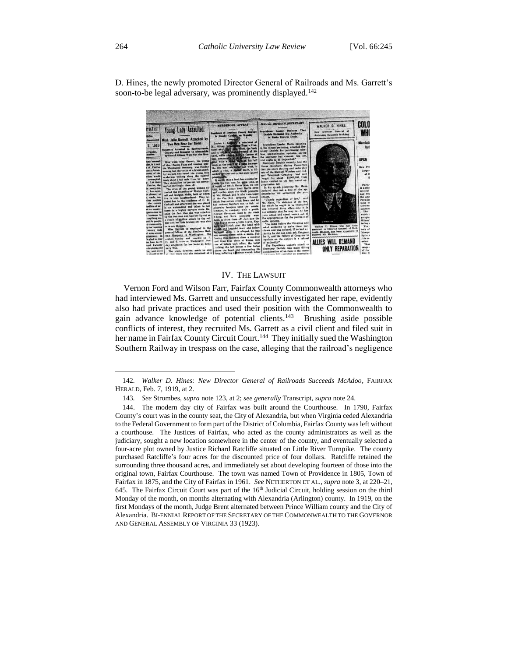

D. Hines, the newly promoted Director General of Railroads and Ms. Garrett's soon-to-be legal adversary, was prominently displayed.<sup>142</sup>

#### IV. THE LAWSUIT

Vernon Ford and Wilson Farr, Fairfax County Commonwealth attorneys who had interviewed Ms. Garrett and unsuccessfully investigated her rape, evidently also had private practices and used their position with the Commonwealth to gain advance knowledge of potential clients.<sup>143</sup> Brushing aside possible conflicts of interest, they recruited Ms. Garrett as a civil client and filed suit in her name in Fairfax County Circuit Court.<sup>144</sup> They initially sued the Washington Southern Railway in trespass on the case, alleging that the railroad's negligence

<sup>142</sup>*. Walker D. Hines: New Director General of Railroads Succeeds McAdoo*, FAIRFAX HERALD, Feb. 7, 1919, at 2.

<sup>143</sup>*. See* Strombes, *supra* note 123, at 2; *see generally* Transcript, *supra* note 24.

<sup>144.</sup> The modern day city of Fairfax was built around the Courthouse. In 1790, Fairfax County's court was in the county seat, the City of Alexandria, but when Virginia ceded Alexandria to the Federal Government to form part of the District of Columbia, Fairfax County was left without a courthouse. The Justices of Fairfax, who acted as the county administrators as well as the judiciary, sought a new location somewhere in the center of the county, and eventually selected a four-acre plot owned by Justice Richard Ratcliffe situated on Little River Turnpike. The county purchased Ratcliffe's four acres for the discounted price of four dollars. Ratcliffe retained the surrounding three thousand acres, and immediately set about developing fourteen of those into the original town, Fairfax Courthouse. The town was named Town of Providence in 1805, Town of Fairfax in 1875, and the City of Fairfax in 1961. *See* NETHERTON ET AL., *supra* note 3, at 220–21, 645. The Fairfax Circuit Court was part of the  $16<sup>th</sup>$  Judicial Circuit, holding session on the third Monday of the month, on months alternating with Alexandria (Arlington) county. In 1919, on the first Mondays of the month, Judge Brent alternated between Prince William county and the City of Alexandria. BI-ENNIAL REPORT OF THE SECRETARY OF THE COMMONWEALTH TO THE GOVERNOR AND GENERAL ASSEMBLY OF VIRGINIA 33 (1923).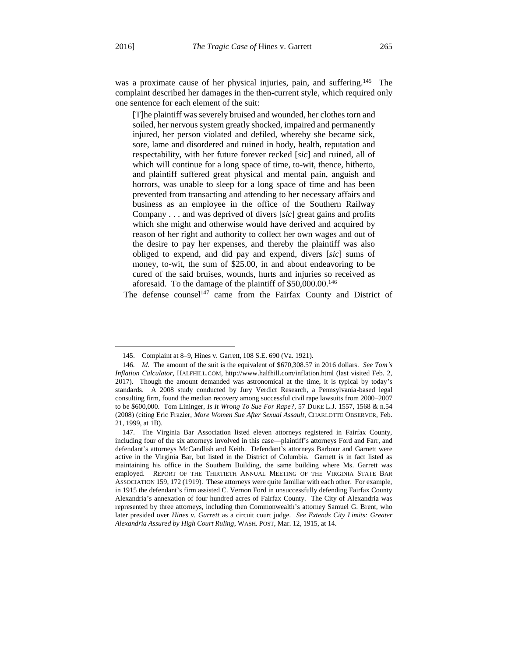$\overline{\phantom{a}}$ 

was a proximate cause of her physical injuries, pain, and suffering.<sup>145</sup> The complaint described her damages in the then-current style, which required only one sentence for each element of the suit:

[T]he plaintiff was severely bruised and wounded, her clothes torn and soiled, her nervous system greatly shocked, impaired and permanently injured, her person violated and defiled, whereby she became sick, sore, lame and disordered and ruined in body, health, reputation and respectability, with her future forever recked [*sic*] and ruined, all of which will continue for a long space of time, to-wit, thence, hitherto, and plaintiff suffered great physical and mental pain, anguish and horrors, was unable to sleep for a long space of time and has been prevented from transacting and attending to her necessary affairs and business as an employee in the office of the Southern Railway Company . . . and was deprived of divers [*sic*] great gains and profits which she might and otherwise would have derived and acquired by reason of her right and authority to collect her own wages and out of the desire to pay her expenses, and thereby the plaintiff was also obliged to expend, and did pay and expend, divers [*sic*] sums of money, to-wit, the sum of \$25.00, in and about endeavoring to be cured of the said bruises, wounds, hurts and injuries so received as aforesaid. To the damage of the plaintiff of \$50,000.00.<sup>146</sup>

The defense counsel<sup>147</sup> came from the Fairfax County and District of

<sup>145.</sup> Complaint at 8–9, Hines v. Garrett, 108 S.E. 690 (Va. 1921).

<sup>146</sup>*. Id.* The amount of the suit is the equivalent of \$670,308.57 in 2016 dollars. *See Tom's Inflation Calculator*, HALFHILL.COM, http://www.halfhill.com/inflation.html (last visited Feb. 2, 2017). Though the amount demanded was astronomical at the time, it is typical by today's standards. A 2008 study conducted by Jury Verdict Research, a Pennsylvania-based legal consulting firm, found the median recovery among successful civil rape lawsuits from 2000–2007 to be \$600,000. Tom Lininger, *Is It Wrong To Sue For Rape?*, 57 DUKE L.J. 1557, 1568 & n.54 (2008) (citing Eric Frazier, *More Women Sue After Sexual Assault*, CHARLOTTE OBSERVER, Feb. 21, 1999, at 1B).

<sup>147.</sup> The Virginia Bar Association listed eleven attorneys registered in Fairfax County, including four of the six attorneys involved in this case—plaintiff's attorneys Ford and Farr, and defendant's attorneys McCandlish and Keith. Defendant's attorneys Barbour and Garnett were active in the Virginia Bar, but listed in the District of Columbia. Garnett is in fact listed as maintaining his office in the Southern Building, the same building where Ms. Garrett was employed. REPORT OF THE THIRTIETH ANNUAL MEETING OF THE VIRGINIA STATE BAR ASSOCIATION 159, 172 (1919). These attorneys were quite familiar with each other. For example, in 1915 the defendant's firm assisted C. Vernon Ford in unsuccessfully defending Fairfax County Alexandria's annexation of four hundred acres of Fairfax County. The City of Alexandria was represented by three attorneys, including then Commonwealth's attorney Samuel G. Brent, who later presided over *Hines v. Garrett* as a circuit court judge. *See Extends City Limits: Greater Alexandria Assured by High Court Ruling*, WASH. POST, Mar. 12, 1915, at 14.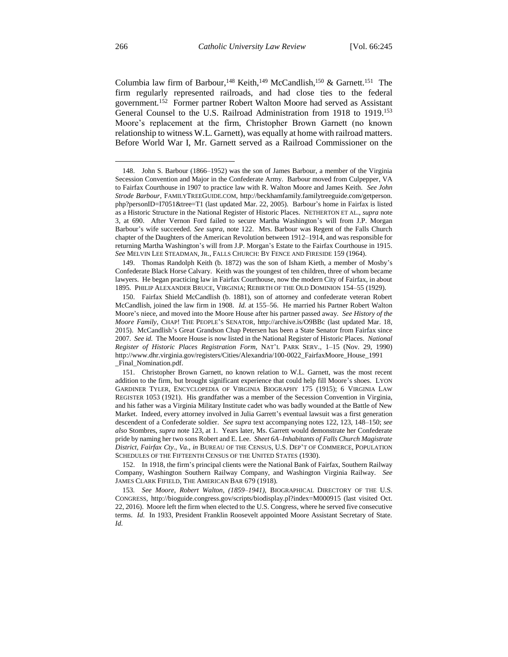Columbia law firm of Barbour,<sup>148</sup> Keith,<sup>149</sup> McCandlish,<sup>150</sup> & Garnett.<sup>151</sup> The firm regularly represented railroads, and had close ties to the federal government.<sup>152</sup> Former partner Robert Walton Moore had served as Assistant General Counsel to the U.S. Railroad Administration from 1918 to 1919.<sup>153</sup> Moore's replacement at the firm, Christopher Brown Garnett (no known relationship to witness W.L. Garnett), was equally at home with railroad matters. Before World War I, Mr. Garnett served as a Railroad Commissioner on the

149. Thomas Randolph Keith (b. 1872) was the son of Isham Kieth, a member of Mosby's Confederate Black Horse Calvary. Keith was the youngest of ten children, three of whom became lawyers. He began practicing law in Fairfax Courthouse, now the modern City of Fairfax, in about 1895. PHILIP ALEXANDER BRUCE, VIRGINIA; REBIRTH OF THE OLD DOMINION 154–55 (1929).

<sup>148.</sup> John S. Barbour (1866–1952) was the son of James Barbour, a member of the Virginia Secession Convention and Major in the Confederate Army. Barbour moved from Culpepper, VA to Fairfax Courthouse in 1907 to practice law with R. Walton Moore and James Keith. *See John Strode Barbour*, FAMILYTREEGUIDE.COM, http://beckhamfamily.familytreeguide.com/getperson. php?personID=I7051&tree=T1 (last updated Mar. 22, 2005). Barbour's home in Fairfax is listed as a Historic Structure in the National Register of Historic Places. NETHERTON ET AL., *supra* note 3, at 690. After Vernon Ford failed to secure Martha Washington's will from J.P. Morgan Barbour's wife succeeded. *See supra*, note 122. Mrs. Barbour was Regent of the Falls Church chapter of the Daughters of the American Revolution between 1912–1914, and was responsible for returning Martha Washington's will from J.P. Morgan's Estate to the Fairfax Courthouse in 1915. *See* MELVIN LEE STEADMAN, JR., FALLS CHURCH: BY FENCE AND FIRESIDE 159 (1964).

<sup>150.</sup> Fairfax Shield McCandlish (b. 1881), son of attorney and confederate veteran Robert McCandlish, joined the law firm in 1908. *Id.* at 155–56. He married his Partner Robert Walton Moore's niece, and moved into the Moore House after his partner passed away. *See History of the Moore Family*, CHAP! THE PEOPLE'S SENATOR, http://archive.is/O9BBc (last updated Mar. 18, 2015). McCandlish's Great Grandson Chap Petersen has been a State Senator from Fairfax since 2007. *See id.* The Moore House is now listed in the National Register of Historic Places. *National Register of Historic Places Registration Form*, NAT'L PARK SERV., 1–15 (Nov. 29, 1990) http://www.dhr.virginia.gov/registers/Cities/Alexandria/100-0022\_FairfaxMoore\_House\_1991 \_Final\_Nomination.pdf.

<sup>151.</sup> Christopher Brown Garnett, no known relation to W.L. Garnett, was the most recent addition to the firm, but brought significant experience that could help fill Moore's shoes. LYON GARDINER TYLER, ENCYCLOPEDIA OF VIRGINIA BIOGRAPHY 175 (1915); 6 VIRGINIA LAW REGISTER 1053 (1921). His grandfather was a member of the Secession Convention in Virginia, and his father was a Virginia Military Institute cadet who was badly wounded at the Battle of New Market. Indeed, every attorney involved in Julia Garrett's eventual lawsuit was a first generation descendent of a Confederate soldier. *See supra* text accompanying notes 122, 123, 148–150; *see also* Stombres, *supra* note 123, at 1. Years later, Ms. Garrett would demonstrate her Confederate pride by naming her two sons Robert and E. Lee. *Sheet 6A–Inhabitants of Falls Church Magistrate District, Fairfax Cty., Va.*, *in* BUREAU OF THE CENSUS, U.S. DEP'T OF COMMERCE, POPULATION SCHEDULES OF THE FIFTEENTH CENSUS OF THE UNITED STATES (1930).

<sup>152.</sup> In 1918, the firm's principal clients were the National Bank of Fairfax, Southern Railway Company, Washington Southern Railway Company, and Washington Virginia Railway. *See* JAMES CLARK FIFIELD, THE AMERICAN BAR 679 (1918).

<sup>153</sup>*. See Moore, Robert Walton, (1859–1941)*, BIOGRAPHICAL DIRECTORY OF THE U.S. CONGRESS, http://bioguide.congress.gov/scripts/biodisplay.pl?index=M000915 (last visited Oct. 22, 2016). Moore left the firm when elected to the U.S. Congress, where he served five consecutive terms. *Id.* In 1933, President Franklin Roosevelt appointed Moore Assistant Secretary of State. *Id.*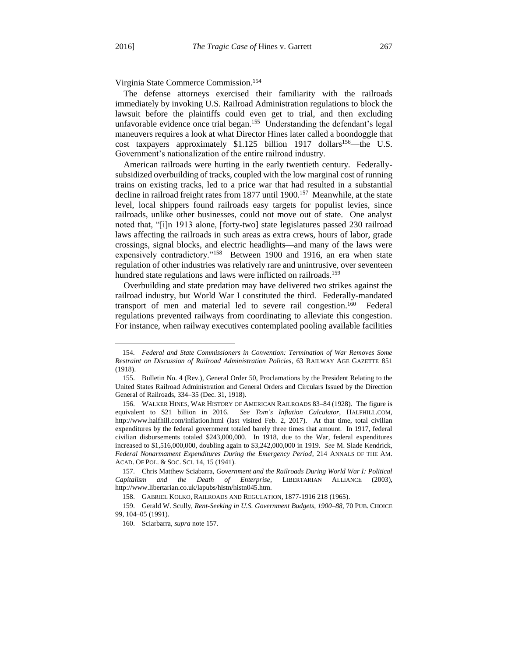$\overline{\phantom{a}}$ 

Virginia State Commerce Commission.<sup>154</sup>

The defense attorneys exercised their familiarity with the railroads immediately by invoking U.S. Railroad Administration regulations to block the lawsuit before the plaintiffs could even get to trial, and then excluding unfavorable evidence once trial began.<sup>155</sup> Understanding the defendant's legal maneuvers requires a look at what Director Hines later called a boondoggle that cost taxpayers approximately  $$1.125$  billion 1917 dollars<sup>156</sup>—the U.S. Government's nationalization of the entire railroad industry.

American railroads were hurting in the early twentieth century. Federallysubsidized overbuilding of tracks, coupled with the low marginal cost of running trains on existing tracks, led to a price war that had resulted in a substantial decline in railroad freight rates from 1877 until 1900.<sup>157</sup> Meanwhile, at the state level, local shippers found railroads easy targets for populist levies, since railroads, unlike other businesses, could not move out of state. One analyst noted that, "[i]n 1913 alone, [forty-two] state legislatures passed 230 railroad laws affecting the railroads in such areas as extra crews, hours of labor, grade crossings, signal blocks, and electric headlights—and many of the laws were expensively contradictory."<sup>158</sup> Between 1900 and 1916, an era when state regulation of other industries was relatively rare and unintrusive, over seventeen hundred state regulations and laws were inflicted on railroads.<sup>159</sup>

Overbuilding and state predation may have delivered two strikes against the railroad industry, but World War I constituted the third. Federally-mandated transport of men and material led to severe rail congestion.<sup>160</sup> Federal regulations prevented railways from coordinating to alleviate this congestion. For instance, when railway executives contemplated pooling available facilities

<sup>154</sup>*. Federal and State Commissioners in Convention: Termination of War Removes Some Restraint on Discussion of Railroad Administration Policies*, 63 RAILWAY AGE GAZETTE 851 (1918).

<sup>155.</sup> Bulletin No. 4 (Rev.), General Order 50, Proclamations by the President Relating to the United States Railroad Administration and General Orders and Circulars Issued by the Direction General of Railroads, 334–35 (Dec. 31, 1918).

<sup>156.</sup> WALKER HINES, WAR HISTORY OF AMERICAN RAILROADS 83–84 (1928). The figure is equivalent to \$21 billion in 2016. *See Tom's Inflation Calculator*, HALFHILL.COM, http://www.halfhill.com/inflation.html (last visited Feb. 2, 2017). At that time, total civilian expenditures by the federal government totaled barely three times that amount. In 1917, federal civilian disbursements totaled \$243,000,000. In 1918, due to the War, federal expenditures increased to \$1,516,000,000, doubling again to \$3,242,000,000 in 1919. *See* M. Slade Kendrick, *Federal Nonarmament Expenditures During the Emergency Period*, 214 ANNALS OF THE AM. ACAD. OF POL. & SOC. SCI. 14, 15 (1941).

<sup>157.</sup> Chris Matthew Sciabarra, *Government and the Railroads During World War I: Political Capitalism and the Death of Enterprise*, LIBERTARIAN ALLIANCE (2003), http://www.libertarian.co.uk/lapubs/histn/histn045.htm.

<sup>158.</sup> GABRIEL KOLKO, RAILROADS AND REGULATION, 1877-1916 218 (1965).

<sup>159.</sup> Gerald W. Scully, *Rent-Seeking in U.S. Government Budgets, 1900–88*, 70 PUB. CHOICE 99, 104–05 (1991).

<sup>160.</sup> Sciarbarra, *supra* note 157.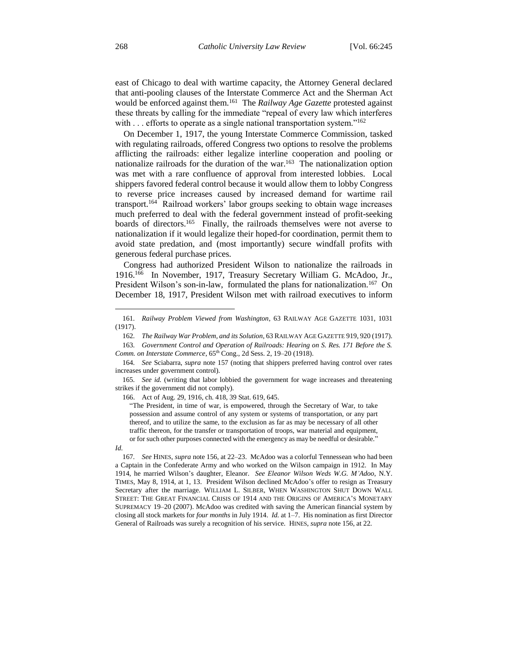east of Chicago to deal with wartime capacity, the Attorney General declared that anti-pooling clauses of the Interstate Commerce Act and the Sherman Act would be enforced against them.<sup>161</sup> The *Railway Age Gazette* protested against these threats by calling for the immediate "repeal of every law which interferes with . . . efforts to operate as a single national transportation system."<sup>162</sup>

On December 1, 1917, the young Interstate Commerce Commission, tasked with regulating railroads, offered Congress two options to resolve the problems afflicting the railroads: either legalize interline cooperation and pooling or nationalize railroads for the duration of the war.<sup>163</sup> The nationalization option was met with a rare confluence of approval from interested lobbies. Local shippers favored federal control because it would allow them to lobby Congress to reverse price increases caused by increased demand for wartime rail transport.<sup>164</sup> Railroad workers' labor groups seeking to obtain wage increases much preferred to deal with the federal government instead of profit-seeking boards of directors.<sup>165</sup> Finally, the railroads themselves were not averse to nationalization if it would legalize their hoped-for coordination, permit them to avoid state predation, and (most importantly) secure windfall profits with generous federal purchase prices.

Congress had authorized President Wilson to nationalize the railroads in 1916.<sup>166</sup> In November, 1917, Treasury Secretary William G. McAdoo, Jr., President Wilson's son-in-law, formulated the plans for nationalization.<sup>167</sup> On December 18, 1917, President Wilson met with railroad executives to inform

Comm. on Interstate Commerce, 65<sup>th</sup> Cong., 2d Sess. 2, 19-20 (1918).

166. Act of Aug. 29, 1916, ch. 418, 39 Stat. 619, 645.

<sup>161</sup>*. Railway Problem Viewed from Washington*, 63 RAILWAY AGE GAZETTE 1031, 1031 (1917).

<sup>162</sup>*. The Railway War Problem, and its Solution*, 63 RAILWAY AGE GAZETTE 919, 920 (1917). 163*. Government Control and Operation of Railroads: Hearing on S. Res. 171 Before the S.* 

<sup>164</sup>*. See* Sciabarra, *supra* note 157 (noting that shippers preferred having control over rates increases under government control).

<sup>165</sup>*. See id.* (writing that labor lobbied the government for wage increases and threatening strikes if the government did not comply).

<sup>&</sup>quot;The President, in time of war, is empowered, through the Secretary of War, to take possession and assume control of any system or systems of transportation, or any part thereof, and to utilize the same, to the exclusion as far as may be necessary of all other traffic thereon, for the transfer or transportation of troops, war material and equipment, or for such other purposes connected with the emergency as may be needful or desirable."

*Id.*

<sup>167</sup>*. See* HINES, *supra* note 156, at 22–23. McAdoo was a colorful Tennessean who had been a Captain in the Confederate Army and who worked on the Wilson campaign in 1912. In May 1914, he married Wilson's daughter, Eleanor. *See Eleanor Wilson Weds W.G. M'Adoo*, N.Y. TIMES, May 8, 1914, at 1, 13. President Wilson declined McAdoo's offer to resign as Treasury Secretary after the marriage. WILLIAM L. SILBER, WHEN WASHINGTON SHUT DOWN WALL STREET: THE GREAT FINANCIAL CRISIS OF 1914 AND THE ORIGINS OF AMERICA'S MONETARY SUPREMACY 19–20 (2007). McAdoo was credited with saving the American financial system by closing all stock markets for *four months* in July 1914. *Id.* at 1–7. His nomination as first Director General of Railroads was surely a recognition of his service. HINES, *supra* note 156, at 22.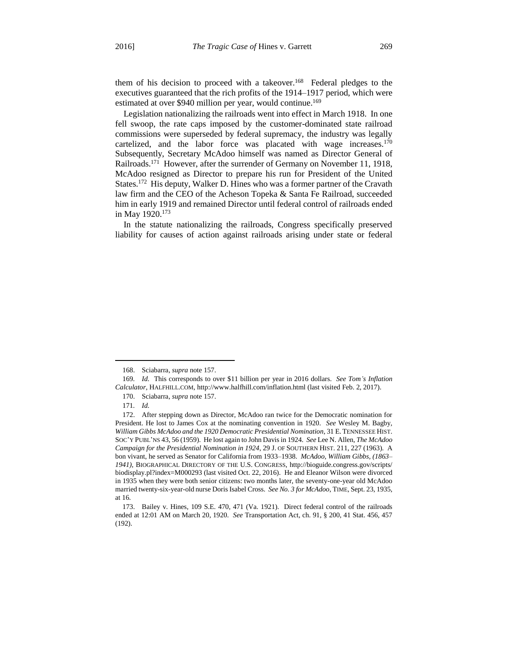them of his decision to proceed with a takeover.<sup>168</sup> Federal pledges to the executives guaranteed that the rich profits of the 1914–1917 period, which were estimated at over \$940 million per year, would continue.<sup>169</sup>

Legislation nationalizing the railroads went into effect in March 1918. In one fell swoop, the rate caps imposed by the customer-dominated state railroad commissions were superseded by federal supremacy, the industry was legally cartelized, and the labor force was placated with wage increases.<sup>170</sup> Subsequently, Secretary McAdoo himself was named as Director General of Railroads.<sup>171</sup> However, after the surrender of Germany on November 11, 1918, McAdoo resigned as Director to prepare his run for President of the United States.<sup>172</sup> His deputy, Walker D. Hines who was a former partner of the Cravath law firm and the CEO of the Acheson Topeka & Santa Fe Railroad, succeeded him in early 1919 and remained Director until federal control of railroads ended in May 1920.<sup>173</sup>

In the statute nationalizing the railroads, Congress specifically preserved liability for causes of action against railroads arising under state or federal

<sup>168.</sup> Sciabarra, *supra* note 157.

<sup>169</sup>*. Id.* This corresponds to over \$11 billion per year in 2016 dollars. *See Tom's Inflation Calculator*, HALFHILL.COM, http://www.halfhill.com/inflation.html (last visited Feb. 2, 2017).

<sup>170.</sup> Sciabarra, *supra* note 157.

<sup>171</sup>*. Id.*

<sup>172.</sup> After stepping down as Director, McAdoo ran twice for the Democratic nomination for President. He lost to James Cox at the nominating convention in 1920. *See* Wesley M. Bagby, *William Gibbs McAdoo and the 1920 Democratic Presidential Nomination*, 31 E. TENNESSEE HIST. SOC'Y PUBL'NS 43, 56 (1959). He lost again to John Davis in 1924. *See* Lee N. Allen, *The McAdoo Campaign for the Presidential Nomination in 1924*, 29 J. OF SOUTHERN HIST. 211, 227 (1963). A bon vivant, he served as Senator for California from 1933–1938. *McAdoo, William Gibbs, (1863– 1941)*, BIOGRAPHICAL DIRECTORY OF THE U.S. CONGRESS, http://bioguide.congress.gov/scripts/ biodisplay.pl?index=M000293 (last visited Oct. 22, 2016). He and Eleanor Wilson were divorced in 1935 when they were both senior citizens: two months later, the seventy-one-year old McAdoo married twenty-six-year-old nurse Doris Isabel Cross. *See No. 3 for McAdoo*, TIME, Sept. 23, 1935, at 16.

<sup>173.</sup> Bailey v. Hines, 109 S.E. 470, 471 (Va. 1921). Direct federal control of the railroads ended at 12:01 AM on March 20, 1920. *See* Transportation Act, ch. 91, § 200, 41 Stat. 456, 457 (192).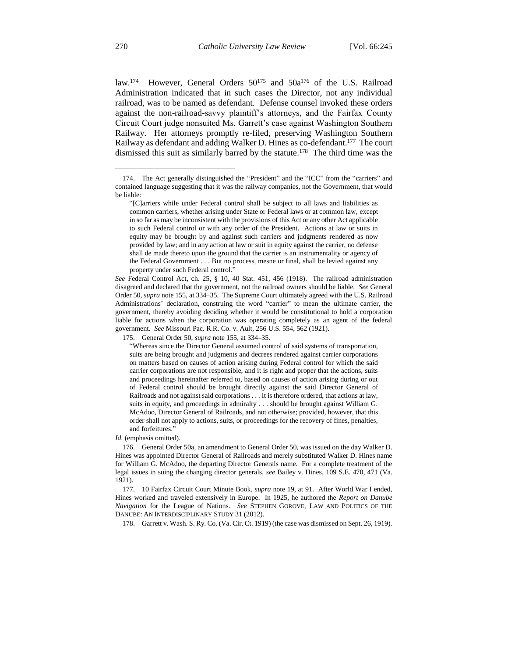law.<sup>174</sup> However, General Orders 50<sup>175</sup> and 50a<sup>176</sup> of the U.S. Railroad Administration indicated that in such cases the Director, not any individual railroad, was to be named as defendant. Defense counsel invoked these orders against the non-railroad-savvy plaintiff's attorneys, and the Fairfax County Circuit Court judge nonsuited Ms. Garrett's case against Washington Southern Railway. Her attorneys promptly re-filed, preserving Washington Southern Railway as defendant and adding Walker D. Hines as co-defendant.<sup>177</sup> The court dismissed this suit as similarly barred by the statute.<sup>178</sup> The third time was the

*See* Federal Control Act, ch. 25, § 10, 40 Stat. 451, 456 (1918). The railroad administration disagreed and declared that the government, not the railroad owners should be liable. *See* General Order 50, *supra* note 155, at 334–35. The Supreme Court ultimately agreed with the U.S. Railroad Administrations' declaration, construing the word "carrier" to mean the ultimate carrier, the government, thereby avoiding deciding whether it would be constitutional to hold a corporation liable for actions when the corporation was operating completely as an agent of the federal government. *See* Missouri Pac. R.R. Co. v. Ault, 256 U.S. 554, 562 (1921).

*Id.* (emphasis omitted).

176. General Order 50a, an amendment to General Order 50, was issued on the day Walker D. Hines was appointed Director General of Railroads and merely substituted Walker D. Hines name for William G. McAdoo, the departing Director Generals name. For a complete treatment of the legal issues in suing the changing director generals, *see* Bailey v. Hines, 109 S.E. 470, 471 (Va. 1921).

177. 10 Fairfax Circuit Court Minute Book, *supra* note 19, at 91. After World War I ended, Hines worked and traveled extensively in Europe. In 1925, he authored the *Report on Danube Navigation* for the League of Nations. *See* STEPHEN GOROVE, LAW AND POLITICS OF THE DANUBE: AN INTERDISCIPLINARY STUDY 31 (2012).

178. Garrett v. Wash. S. Ry. Co. (Va. Cir. Ct. 1919) (the case was dismissed on Sept. 26, 1919).

<sup>174.</sup> The Act generally distinguished the "President" and the "ICC" from the "carriers" and contained language suggesting that it was the railway companies, not the Government, that would be liable:

<sup>&</sup>quot;[C]arriers while under Federal control shall be subject to all laws and liabilities as common carriers, whether arising under State or Federal laws or at common law, except in so far as may be inconsistent with the provisions of this Act or any other Act applicable to such Federal control or with any order of the President. Actions at law or suits in equity may be brought by and against such carriers and judgments rendered as now provided by law; and in any action at law or suit in equity against the carrier, no defense shall de made thereto upon the ground that the carrier is an instrumentality or agency of the Federal Government . . . But no process, mesne or final, shall be levied against any property under such Federal control."

<sup>175.</sup> General Order 50, *supra* note 155, at 334–35.

<sup>&</sup>quot;Whereas since the Director General assumed control of said systems of transportation, suits are being brought and judgments and decrees rendered against carrier corporations on matters based on causes of action arising during Federal control for which the said carrier corporations are not responsible, and it is right and proper that the actions, suits and proceedings hereinafter referred to, based on causes of action arising during or out of Federal control should be brought directly against the said Director General of Railroads and not against said corporations . . . It is therefore ordered, that actions at law, suits in equity, and proceedings in admiralty . . . should be brought against William G. McAdoo, Director General of Railroads, and not otherwise; provided, however, that this order shall not apply to actions, suits, or proceedings for the recovery of fines, penalties, and forfeitures.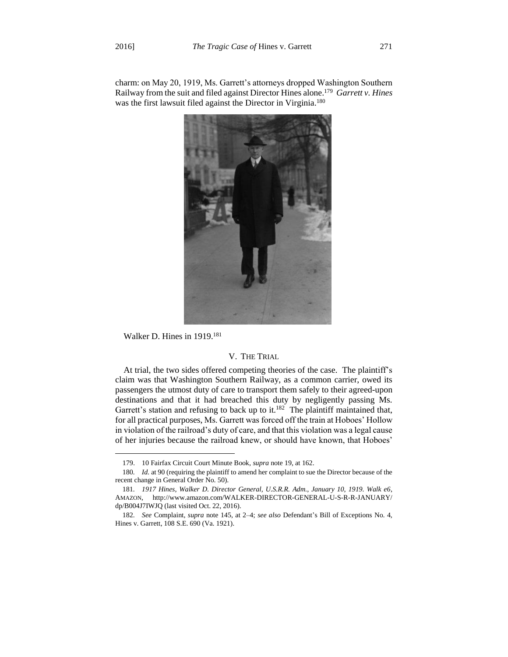charm: on May 20, 1919, Ms. Garrett's attorneys dropped Washington Southern Railway from the suit and filed against Director Hines alone.<sup>179</sup> *Garrett v. Hines* was the first lawsuit filed against the Director in Virginia.<sup>180</sup>



Walker D. Hines in 1919. 181

 $\overline{\phantom{a}}$ 

#### V. THE TRIAL

At trial, the two sides offered competing theories of the case. The plaintiff's claim was that Washington Southern Railway, as a common carrier, owed its passengers the utmost duty of care to transport them safely to their agreed-upon destinations and that it had breached this duty by negligently passing Ms. Garrett's station and refusing to back up to it.<sup>182</sup> The plaintiff maintained that, for all practical purposes, Ms. Garrett was forced off the train at Hoboes' Hollow in violation of the railroad's duty of care, and that this violation was a legal cause of her injuries because the railroad knew, or should have known, that Hoboes'

<sup>179.</sup> 10 Fairfax Circuit Court Minute Book, *supra* note 19, at 162.

<sup>180</sup>*. Id.* at 90 (requiring the plaintiff to amend her complaint to sue the Director because of the recent change in General Order No. 50).

<sup>181</sup>*. 1917 Hines, Walker D. Director General, U.S.R.R. Adm., January 10, 1919. Walk e6*, AMAZON, http://www.amazon.com/WALKER-DIRECTOR-GENERAL-U-S-R-R-JANUARY/ dp/B004J7IWJQ (last visited Oct. 22, 2016).

<sup>182</sup>*. See* Complaint, *supra* note 145, at 2–4; *see also* Defendant's Bill of Exceptions No. 4, Hines v. Garrett, 108 S.E. 690 (Va. 1921).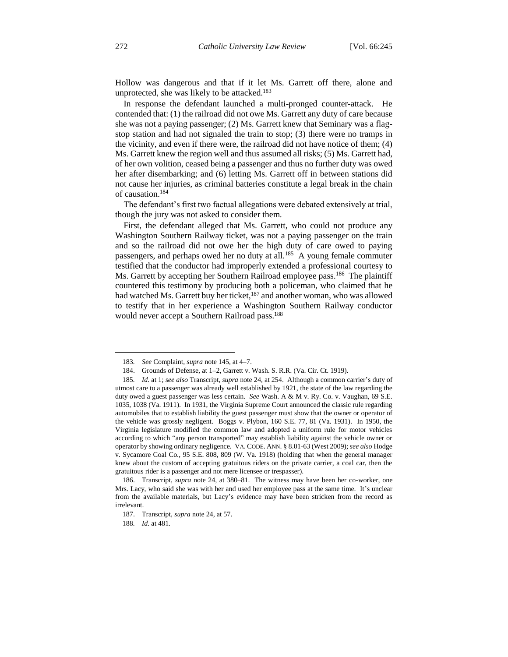Hollow was dangerous and that if it let Ms. Garrett off there, alone and unprotected, she was likely to be attacked.<sup>183</sup>

In response the defendant launched a multi-pronged counter-attack. He contended that: (1) the railroad did not owe Ms. Garrett any duty of care because she was not a paying passenger; (2) Ms. Garrett knew that Seminary was a flagstop station and had not signaled the train to stop; (3) there were no tramps in the vicinity, and even if there were, the railroad did not have notice of them; (4) Ms. Garrett knew the region well and thus assumed all risks; (5) Ms. Garrett had, of her own volition, ceased being a passenger and thus no further duty was owed her after disembarking; and (6) letting Ms. Garrett off in between stations did not cause her injuries, as criminal batteries constitute a legal break in the chain of causation.<sup>184</sup>

The defendant's first two factual allegations were debated extensively at trial, though the jury was not asked to consider them.

First, the defendant alleged that Ms. Garrett, who could not produce any Washington Southern Railway ticket, was not a paying passenger on the train and so the railroad did not owe her the high duty of care owed to paying passengers, and perhaps owed her no duty at all.<sup>185</sup> A young female commuter testified that the conductor had improperly extended a professional courtesy to Ms. Garrett by accepting her Southern Railroad employee pass.<sup>186</sup> The plaintiff countered this testimony by producing both a policeman, who claimed that he had watched Ms. Garrett buy her ticket,<sup>187</sup> and another woman, who was allowed to testify that in her experience a Washington Southern Railway conductor would never accept a Southern Railroad pass.<sup>188</sup>

188*. Id.* at 481.

<sup>183</sup>*. See* Complaint, *supra* note 145, at 4–7.

<sup>184.</sup> Grounds of Defense, at 1–2, Garrett v. Wash. S. R.R. (Va. Cir. Ct. 1919).

<sup>185</sup>*. Id.* at 1; *see also* Transcript, *supra* note 24, at 254. Although a common carrier's duty of utmost care to a passenger was already well established by 1921, the state of the law regarding the duty owed a guest passenger was less certain. *See* Wash. A & M v. Ry. Co. v. Vaughan, 69 S.E. 1035, 1038 (Va. 1911). In 1931, the Virginia Supreme Court announced the classic rule regarding automobiles that to establish liability the guest passenger must show that the owner or operator of the vehicle was grossly negligent. Boggs v. Plybon, 160 S.E. 77, 81 (Va. 1931). In 1950, the Virginia legislature modified the common law and adopted a uniform rule for motor vehicles according to which "any person transported" may establish liability against the vehicle owner or operator by showing ordinary negligence. VA. CODE. ANN. § 8.01-63 (West 2009); *see also* Hodge v. Sycamore Coal Co., 95 S.E. 808, 809 (W. Va. 1918) (holding that when the general manager knew about the custom of accepting gratuitous riders on the private carrier, a coal car, then the gratuitous rider is a passenger and not mere licensee or trespasser).

<sup>186.</sup> Transcript, *supra* note 24, at 380–81. The witness may have been her co-worker, one Mrs. Lacy, who said she was with her and used her employee pass at the same time. It's unclear from the available materials, but Lacy's evidence may have been stricken from the record as irrelevant.

<sup>187.</sup> Transcript, *supra* note 24, at 57.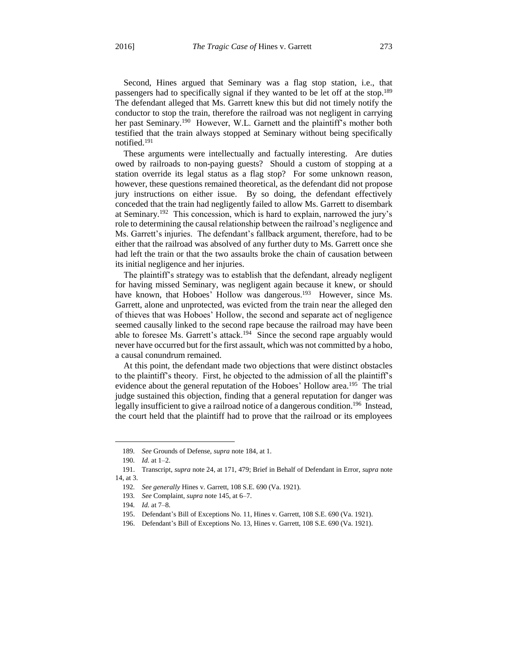Second, Hines argued that Seminary was a flag stop station, i.e., that passengers had to specifically signal if they wanted to be let off at the stop.<sup>189</sup> The defendant alleged that Ms. Garrett knew this but did not timely notify the conductor to stop the train, therefore the railroad was not negligent in carrying her past Seminary.<sup>190</sup> However, W.L. Garnett and the plaintiff's mother both testified that the train always stopped at Seminary without being specifically notified.<sup>191</sup>

These arguments were intellectually and factually interesting. Are duties owed by railroads to non-paying guests? Should a custom of stopping at a station override its legal status as a flag stop? For some unknown reason, however, these questions remained theoretical, as the defendant did not propose jury instructions on either issue. By so doing, the defendant effectively conceded that the train had negligently failed to allow Ms. Garrett to disembark at Seminary.<sup>192</sup> This concession, which is hard to explain, narrowed the jury's role to determining the causal relationship between the railroad's negligence and Ms. Garrett's injuries. The defendant's fallback argument, therefore, had to be either that the railroad was absolved of any further duty to Ms. Garrett once she had left the train or that the two assaults broke the chain of causation between its initial negligence and her injuries.

The plaintiff's strategy was to establish that the defendant, already negligent for having missed Seminary, was negligent again because it knew, or should have known, that Hoboes' Hollow was dangerous.<sup>193</sup> However, since Ms. Garrett, alone and unprotected, was evicted from the train near the alleged den of thieves that was Hoboes' Hollow, the second and separate act of negligence seemed causally linked to the second rape because the railroad may have been able to foresee Ms. Garrett's attack.<sup>194</sup> Since the second rape arguably would never have occurred but for the first assault, which was not committed by a hobo, a causal conundrum remained.

At this point, the defendant made two objections that were distinct obstacles to the plaintiff's theory. First, he objected to the admission of all the plaintiff's evidence about the general reputation of the Hoboes' Hollow area.<sup>195</sup> The trial judge sustained this objection, finding that a general reputation for danger was legally insufficient to give a railroad notice of a dangerous condition.<sup>196</sup> Instead, the court held that the plaintiff had to prove that the railroad or its employees

<sup>189</sup>*. See* Grounds of Defense, *supra* note 184, at 1.

<sup>190</sup>*. Id.* at 1–2.

<sup>191.</sup> Transcript, *supra* note 24, at 171, 479; Brief in Behalf of Defendant in Error, *supra* note 14, at 3.

<sup>192</sup>*. See generally* Hines v. Garrett, 108 S.E. 690 (Va. 1921).

<sup>193</sup>*. See* Complaint, *supra* note 145, at 6–7.

<sup>194</sup>*. Id.* at 7–8.

<sup>195.</sup> Defendant's Bill of Exceptions No. 11, Hines v. Garrett, 108 S.E. 690 (Va. 1921).

<sup>196.</sup> Defendant's Bill of Exceptions No. 13, Hines v. Garrett, 108 S.E. 690 (Va. 1921).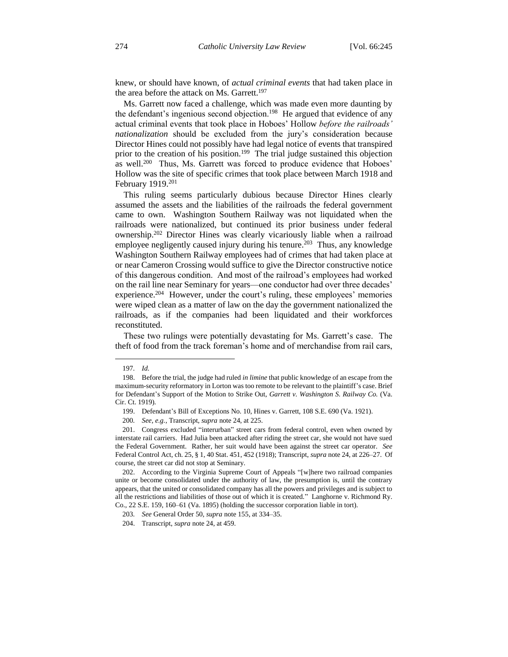knew, or should have known, of *actual criminal events* that had taken place in the area before the attack on Ms. Garrett.<sup>197</sup>

Ms. Garrett now faced a challenge, which was made even more daunting by the defendant's ingenious second objection.<sup>198</sup> He argued that evidence of any actual criminal events that took place in Hoboes' Hollow *before the railroads' nationalization* should be excluded from the jury's consideration because Director Hines could not possibly have had legal notice of events that transpired prior to the creation of his position.<sup>199</sup> The trial judge sustained this objection as well.<sup>200</sup> Thus, Ms. Garrett was forced to produce evidence that Hoboes' Hollow was the site of specific crimes that took place between March 1918 and February 1919.<sup>201</sup>

This ruling seems particularly dubious because Director Hines clearly assumed the assets and the liabilities of the railroads the federal government came to own. Washington Southern Railway was not liquidated when the railroads were nationalized, but continued its prior business under federal ownership.<sup>202</sup> Director Hines was clearly vicariously liable when a railroad employee negligently caused injury during his tenure.<sup>203</sup> Thus, any knowledge Washington Southern Railway employees had of crimes that had taken place at or near Cameron Crossing would suffice to give the Director constructive notice of this dangerous condition. And most of the railroad's employees had worked on the rail line near Seminary for years—one conductor had over three decades' experience.<sup>204</sup> However, under the court's ruling, these employees' memories were wiped clean as a matter of law on the day the government nationalized the railroads, as if the companies had been liquidated and their workforces reconstituted.

These two rulings were potentially devastating for Ms. Garrett's case. The theft of food from the track foreman's home and of merchandise from rail cars,

<sup>197</sup>*. Id.*

<sup>198.</sup> Before the trial, the judge had ruled *in limine* that public knowledge of an escape from the maximum-security reformatory in Lorton was too remote to be relevant to the plaintiff's case. Brief for Defendant's Support of the Motion to Strike Out, *Garrett v. Washington S. Railway Co.* (Va. Cir. Ct. 1919)*.*

<sup>199.</sup> Defendant's Bill of Exceptions No. 10, Hines v. Garrett, 108 S.E. 690 (Va. 1921).

<sup>200</sup>*. See, e.g.*, Transcript, *supra* note 24, at 225.

<sup>201.</sup> Congress excluded "interurban" street cars from federal control, even when owned by interstate rail carriers. Had Julia been attacked after riding the street car, she would not have sued the Federal Government. Rather, her suit would have been against the street car operator. *See* Federal Control Act, ch. 25, § 1, 40 Stat. 451, 452 (1918); Transcript, *supra* note 24, at 226–27. Of course, the street car did not stop at Seminary.

<sup>202.</sup> According to the Virginia Supreme Court of Appeals "[w]here two railroad companies unite or become consolidated under the authority of law, the presumption is, until the contrary appears, that the united or consolidated company has all the powers and privileges and is subject to all the restrictions and liabilities of those out of which it is created." Langhorne v. Richmond Ry. Co., 22 S.E. 159, 160–61 (Va. 1895) (holding the successor corporation liable in tort).

<sup>203</sup>*. See* General Order 50, *supra* note 155, at 334–35.

<sup>204.</sup> Transcript, *supra* note 24, at 459.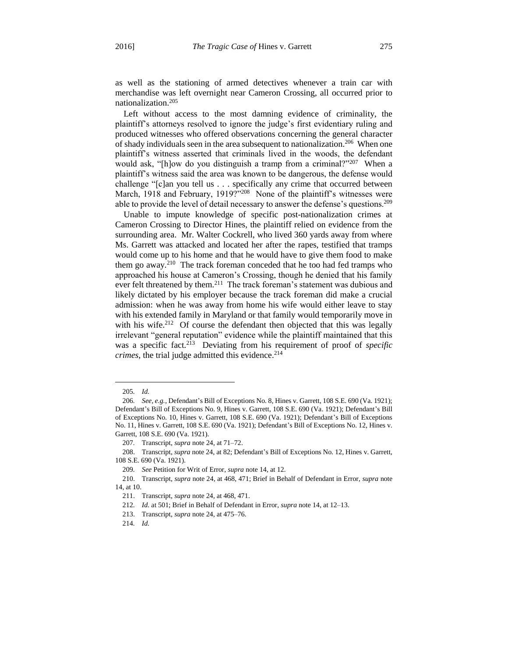as well as the stationing of armed detectives whenever a train car with merchandise was left overnight near Cameron Crossing, all occurred prior to nationalization.<sup>205</sup>

Left without access to the most damning evidence of criminality, the plaintiff's attorneys resolved to ignore the judge's first evidentiary ruling and produced witnesses who offered observations concerning the general character of shady individuals seen in the area subsequent to nationalization.<sup>206</sup> When one plaintiff's witness asserted that criminals lived in the woods, the defendant would ask, "[h]ow do you distinguish a tramp from a criminal?"<sup>207</sup> When a plaintiff's witness said the area was known to be dangerous, the defense would challenge "[c]an you tell us . . . specifically any crime that occurred between March, 1918 and February, 1919?"<sup>208</sup> None of the plaintiff's witnesses were able to provide the level of detail necessary to answer the defense's questions.<sup>209</sup>

Unable to impute knowledge of specific post-nationalization crimes at Cameron Crossing to Director Hines, the plaintiff relied on evidence from the surrounding area. Mr. Walter Cockrell, who lived 360 yards away from where Ms. Garrett was attacked and located her after the rapes, testified that tramps would come up to his home and that he would have to give them food to make them go away.<sup>210</sup> The track foreman conceded that he too had fed tramps who approached his house at Cameron's Crossing, though he denied that his family ever felt threatened by them.<sup>211</sup> The track foreman's statement was dubious and likely dictated by his employer because the track foreman did make a crucial admission: when he was away from home his wife would either leave to stay with his extended family in Maryland or that family would temporarily move in with his wife.<sup>212</sup> Of course the defendant then objected that this was legally irrelevant "general reputation" evidence while the plaintiff maintained that this was a specific fact.<sup>213</sup> Deviating from his requirement of proof of *specific crimes*, the trial judge admitted this evidence.<sup>214</sup>

<sup>205</sup>*. Id.*

<sup>206</sup>*. See, e.g.*, Defendant's Bill of Exceptions No. 8, Hines v. Garrett, 108 S.E. 690 (Va. 1921); Defendant's Bill of Exceptions No. 9, Hines v. Garrett, 108 S.E. 690 (Va. 1921); Defendant's Bill of Exceptions No. 10, Hines v. Garrett, 108 S.E. 690 (Va. 1921); Defendant's Bill of Exceptions No. 11, Hines v. Garrett, 108 S.E. 690 (Va. 1921); Defendant's Bill of Exceptions No. 12, Hines v. Garrett, 108 S.E. 690 (Va. 1921).

<sup>207</sup>*.* Transcript, *supra* note 24, at 71–72.

<sup>208.</sup> Transcript, *supra* note 24, at 82; Defendant's Bill of Exceptions No. 12, Hines v. Garrett, 108 S.E. 690 (Va. 1921).

<sup>209</sup>*. See* Petition for Writ of Error, *supra* note 14, at 12.

<sup>210.</sup> Transcript, *supra* note 24, at 468, 471; Brief in Behalf of Defendant in Error, *supra* note 14, at 10.

<sup>211.</sup> Transcript, *supra* note 24, at 468, 471.

<sup>212</sup>*. Id.* at 501; Brief in Behalf of Defendant in Error, *supra* note 14, at 12–13.

<sup>213.</sup> Transcript, *supra* note 24, at 475–76.

<sup>214</sup>*. Id.*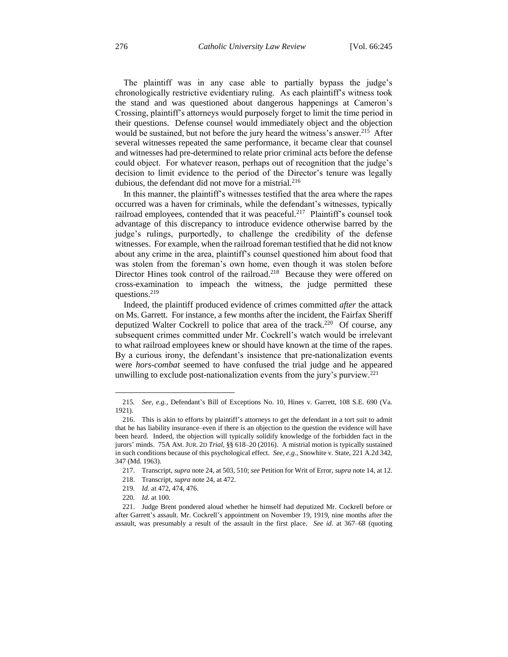The plaintiff was in any case able to partially bypass the judge's chronologically restrictive evidentiary ruling. As each plaintiff's witness took the stand and was questioned about dangerous happenings at Cameron's Crossing, plaintiff's attorneys would purposely forget to limit the time period in their questions. Defense counsel would immediately object and the objection would be sustained, but not before the jury heard the witness's answer.<sup>215</sup> After several witnesses repeated the same performance, it became clear that counsel and witnesses had pre-determined to relate prior criminal acts before the defense could object. For whatever reason, perhaps out of recognition that the judge's decision to limit evidence to the period of the Director's tenure was legally dubious, the defendant did not move for a mistrial.<sup>216</sup>

In this manner, the plaintiff's witnesses testified that the area where the rapes occurred was a haven for criminals, while the defendant's witnesses, typically railroad employees, contended that it was peaceful.<sup>217</sup> Plaintiff's counsel took advantage of this discrepancy to introduce evidence otherwise barred by the judge's rulings, purportedly, to challenge the credibility of the defense witnesses. For example, when the railroad foreman testified that he did not know about any crime in the area, plaintiff's counsel questioned him about food that was stolen from the foreman's own home, even though it was stolen before Director Hines took control of the railroad.<sup>218</sup> Because they were offered on cross-examination to impeach the witness, the judge permitted these questions.<sup>219</sup>

Indeed, the plaintiff produced evidence of crimes committed *after* the attack on Ms. Garrett. For instance, a few months after the incident, the Fairfax Sheriff deputized Walter Cockrell to police that area of the track.<sup>220</sup> Of course, any subsequent crimes committed under Mr. Cockrell's watch would be irrelevant to what railroad employees knew or should have known at the time of the rapes. By a curious irony, the defendant's insistence that pre-nationalization events were *hors-combat* seemed to have confused the trial judge and he appeared unwilling to exclude post-nationalization events from the jury's purview.<sup>221</sup>

<sup>215</sup>*. See, e.g.*, Defendant's Bill of Exceptions No. 10, Hines v. Garrett, 108 S.E. 690 (Va. 1921).

<sup>216.</sup> This is akin to efforts by plaintiff's attorneys to get the defendant in a tort suit to admit that he has liability insurance–even if there is an objection to the question the evidence will have been heard. Indeed, the objection will typically solidify knowledge of the forbidden fact in the jurors' minds. 75A AM. JUR. 2D *Trial*, §§ 618–20 (2016). A mistrial motion is typically sustained in such conditions because of this psychological effect. *See, e.g.*, Snowhite v. State, 221 A.2d 342, 347 (Md. 1963).

<sup>217.</sup> Transcript, *supra* note 24, at 503, 510; *see* Petition for Writ of Error, *supra* note 14, at 12.

<sup>218.</sup> Transcript, *supra* note 24, at 472.

<sup>219</sup>*. Id.* at 472, 474, 476.

<sup>220</sup>*. Id.* at 100.

<sup>221.</sup> Judge Brent pondered aloud whether he himself had deputized Mr. Cockrell before or after Garrett's assault. Mr. Cockrell's appointment on November 19, 1919, nine months after the assault, was presumably a result of the assault in the first place. *See id.* at 367–68 (quoting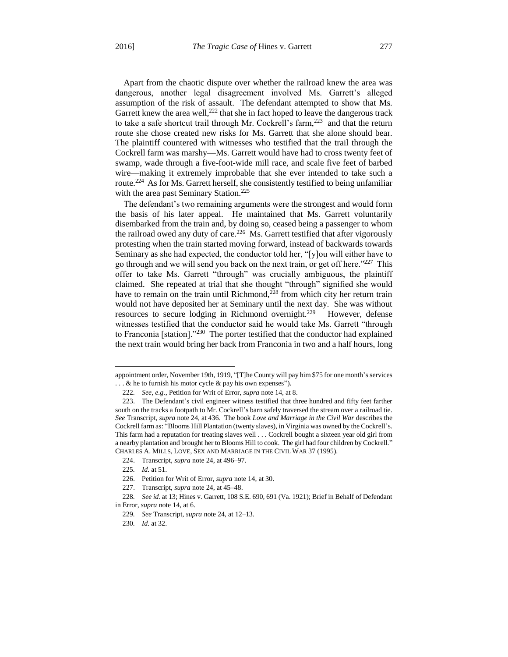Apart from the chaotic dispute over whether the railroad knew the area was dangerous, another legal disagreement involved Ms. Garrett's alleged assumption of the risk of assault. The defendant attempted to show that Ms. Garrett knew the area well,  $222$  that she in fact hoped to leave the dangerous track to take a safe shortcut trail through Mr. Cockrell's farm, $^{223}$  and that the return route she chose created new risks for Ms. Garrett that she alone should bear. The plaintiff countered with witnesses who testified that the trail through the Cockrell farm was marshy—Ms. Garrett would have had to cross twenty feet of swamp, wade through a five-foot-wide mill race, and scale five feet of barbed wire—making it extremely improbable that she ever intended to take such a route.<sup>224</sup> As for Ms. Garrett herself, she consistently testified to being unfamiliar with the area past Seminary Station.<sup>225</sup>

The defendant's two remaining arguments were the strongest and would form the basis of his later appeal. He maintained that Ms. Garrett voluntarily disembarked from the train and, by doing so, ceased being a passenger to whom the railroad owed any duty of care.<sup>226</sup> Ms. Garrett testified that after vigorously protesting when the train started moving forward, instead of backwards towards Seminary as she had expected, the conductor told her, "[y]ou will either have to go through and we will send you back on the next train, or get off here."<sup>227</sup> This offer to take Ms. Garrett "through" was crucially ambiguous, the plaintiff claimed. She repeated at trial that she thought "through" signified she would have to remain on the train until Richmond, $228$  from which city her return train would not have deposited her at Seminary until the next day. She was without resources to secure lodging in Richmond overnight.<sup>229</sup> However, defense witnesses testified that the conductor said he would take Ms. Garrett "through to Franconia [station]."<sup>230</sup> The porter testified that the conductor had explained the next train would bring her back from Franconia in two and a half hours, long

appointment order, November 19th, 1919, "[T]he County will pay him \$75 for one month's services  $\ldots$  & he to furnish his motor cycle & pay his own expenses").

<sup>222</sup>*. See, e.g.*, Petition for Writ of Error, *supra* note 14, at 8.

<sup>223.</sup> The Defendant's civil engineer witness testified that three hundred and fifty feet farther south on the tracks a footpath to Mr. Cockrell's barn safely traversed the stream over a railroad tie. *See* Transcript, *supra* note 24, at 436. The book *Love and Marriage in the Civil War* describes the Cockrell farm as: "Blooms Hill Plantation (twenty slaves), in Virginia was owned by the Cockrell's. This farm had a reputation for treating slaves well . . . Cockrell bought a sixteen year old girl from a nearby plantation and brought her to Blooms Hill to cook. The girl had four children by Cockrell." CHARLES A. MILLS, LOVE, SEX AND MARRIAGE IN THE CIVIL WAR 37 (1995).

<sup>224.</sup> Transcript, *supra* note 24, at 496–97.

<sup>225</sup>*. Id.* at 51.

<sup>226.</sup> Petition for Writ of Error, *supra* note 14, at 30.

<sup>227.</sup> Transcript, *supra* note 24, at 45–48.

<sup>228</sup>*. See id.* at 13; Hines v. Garrett, 108 S.E. 690, 691 (Va. 1921); Brief in Behalf of Defendant in Error, *supra* note 14, at 6.

<sup>229</sup>*. See* Transcript, *supra* note 24, at 12–13.

<sup>230</sup>*. Id.* at 32.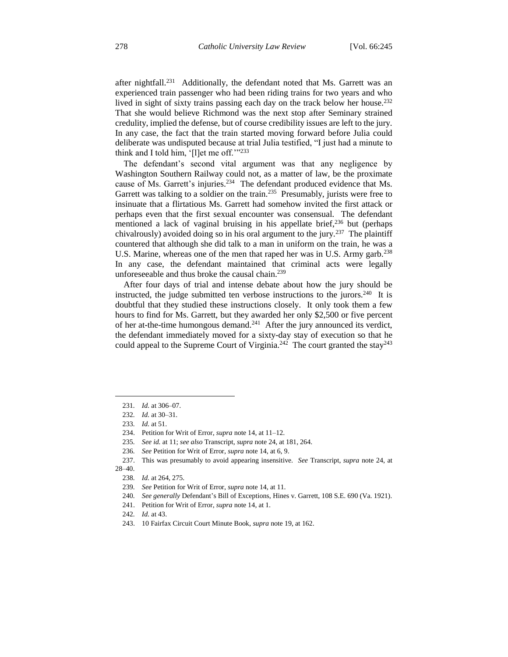after nightfall.<sup>231</sup> Additionally, the defendant noted that Ms. Garrett was an experienced train passenger who had been riding trains for two years and who lived in sight of sixty trains passing each day on the track below her house.<sup>232</sup> That she would believe Richmond was the next stop after Seminary strained credulity, implied the defense, but of course credibility issues are left to the jury. In any case, the fact that the train started moving forward before Julia could deliberate was undisputed because at trial Julia testified, "I just had a minute to think and I told him, '[l]et me off.'"<sup>233</sup>

The defendant's second vital argument was that any negligence by Washington Southern Railway could not, as a matter of law, be the proximate cause of Ms. Garrett's injuries.<sup>234</sup> The defendant produced evidence that Ms. Garrett was talking to a soldier on the train.<sup>235</sup> Presumably, jurists were free to insinuate that a flirtatious Ms. Garrett had somehow invited the first attack or perhaps even that the first sexual encounter was consensual. The defendant mentioned a lack of vaginal bruising in his appellate brief, $236$  but (perhaps chivalrously) avoided doing so in his oral argument to the jury.<sup>237</sup> The plaintiff countered that although she did talk to a man in uniform on the train, he was a U.S. Marine, whereas one of the men that raped her was in U.S. Army garb.<sup>238</sup> In any case, the defendant maintained that criminal acts were legally unforeseeable and thus broke the causal chain.<sup>239</sup>

After four days of trial and intense debate about how the jury should be instructed, the judge submitted ten verbose instructions to the jurors. $240$  It is doubtful that they studied these instructions closely. It only took them a few hours to find for Ms. Garrett, but they awarded her only \$2,500 or five percent of her at-the-time humongous demand.<sup>241</sup> After the jury announced its verdict, the defendant immediately moved for a sixty-day stay of execution so that he could appeal to the Supreme Court of Virginia.<sup>242</sup> The court granted the stay<sup>243</sup>

28–40.

<sup>231</sup>*. Id.* at 306–07.

<sup>232</sup>*. Id.* at 30–31.

<sup>233</sup>*. Id.* at 51.

<sup>234.</sup> Petition for Writ of Error, *supra* note 14, at 11–12.

<sup>235</sup>*. See id.* at 11; *see also* Transcript, *supra* note 24, at 181, 264.

<sup>236</sup>*. See* Petition for Writ of Error, *supra* note 14, at 6, 9.

<sup>237.</sup> This was presumably to avoid appearing insensitive. *See* Transcript, *supra* note 24, at

<sup>238</sup>*. Id.* at 264, 275.

<sup>239</sup>*. See* Petition for Writ of Error, *supra* note 14, at 11.

<sup>240</sup>*. See generally* Defendant's Bill of Exceptions, Hines v. Garrett, 108 S.E. 690 (Va. 1921).

<sup>241.</sup> Petition for Writ of Error, *supra* note 14, at 1.

<sup>242</sup>*. Id.* at 43.

<sup>243.</sup> 10 Fairfax Circuit Court Minute Book, *supra* note 19, at 162.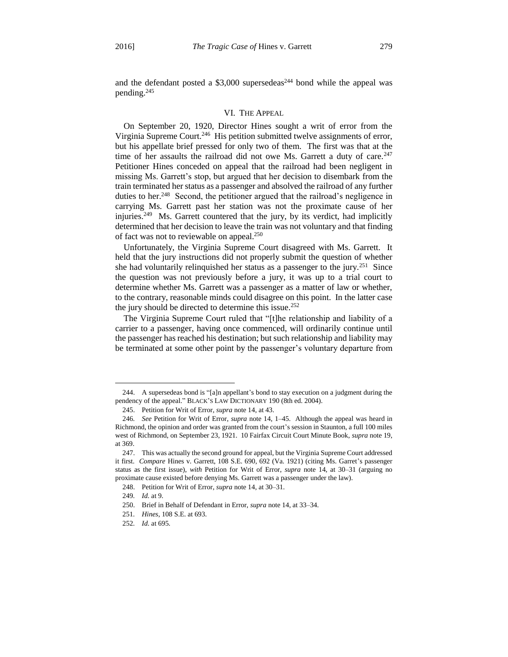and the defendant posted a  $$3,000$  supersedeas<sup>244</sup> bond while the appeal was pending.<sup>245</sup>

#### VI. THE APPEAL

On September 20, 1920, Director Hines sought a writ of error from the Virginia Supreme Court.<sup>246</sup> His petition submitted twelve assignments of error, but his appellate brief pressed for only two of them. The first was that at the time of her assaults the railroad did not owe Ms. Garrett a duty of care.<sup>247</sup> Petitioner Hines conceded on appeal that the railroad had been negligent in missing Ms. Garrett's stop, but argued that her decision to disembark from the train terminated her status as a passenger and absolved the railroad of any further duties to her.<sup>248</sup> Second, the petitioner argued that the railroad's negligence in carrying Ms. Garrett past her station was not the proximate cause of her injuries.<sup>249</sup> Ms. Garrett countered that the jury, by its verdict, had implicitly determined that her decision to leave the train was not voluntary and that finding of fact was not to reviewable on appeal.<sup>250</sup>

Unfortunately, the Virginia Supreme Court disagreed with Ms. Garrett. It held that the jury instructions did not properly submit the question of whether she had voluntarily relinquished her status as a passenger to the jury.<sup>251</sup> Since the question was not previously before a jury, it was up to a trial court to determine whether Ms. Garrett was a passenger as a matter of law or whether, to the contrary, reasonable minds could disagree on this point. In the latter case the jury should be directed to determine this issue. 252

The Virginia Supreme Court ruled that "[t]he relationship and liability of a carrier to a passenger, having once commenced, will ordinarily continue until the passenger has reached his destination; but such relationship and liability may be terminated at some other point by the passenger's voluntary departure from

<sup>244.</sup> A supersedeas bond is "[a]n appellant's bond to stay execution on a judgment during the pendency of the appeal." BLACK'S LAW DICTIONARY 190 (8th ed. 2004).

<sup>245.</sup> Petition for Writ of Error, *supra* note 14, at 43.

<sup>246</sup>*. See* Petition for Writ of Error, *supra* note 14, 1–45. Although the appeal was heard in Richmond, the opinion and order was granted from the court's session in Staunton, a full 100 miles west of Richmond, on September 23, 1921. 10 Fairfax Circuit Court Minute Book, *supra* note 19, at 369.

<sup>247.</sup> This was actually the second ground for appeal, but the Virginia Supreme Court addressed it first. *Compare* Hines v. Garrett, 108 S.E. 690, 692 (Va. 1921) (citing Ms. Garret's passenger status as the first issue), *with* Petition for Writ of Error, *supra* note 14, at 30–31 (arguing no proximate cause existed before denying Ms. Garrett was a passenger under the law).

<sup>248.</sup> Petition for Writ of Error, *supra* note 14, at 30–31.

<sup>249</sup>*. Id.* at 9.

<sup>250.</sup> Brief in Behalf of Defendant in Error, *supra* note 14, at 33–34.

<sup>251</sup>*. Hines*, 108 S.E. at 693.

<sup>252</sup>*. Id.* at 695.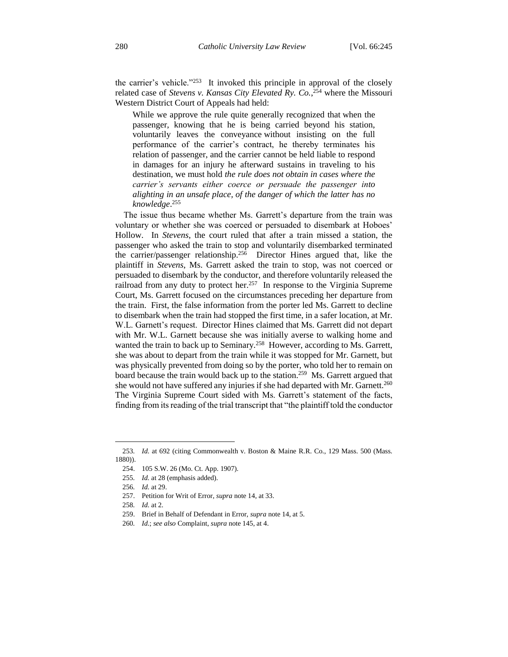the carrier's vehicle."<sup>253</sup> It invoked this principle in approval of the closely related case of *Stevens v. Kansas City Elevated Ry. Co.*, <sup>254</sup> where the Missouri Western District Court of Appeals had held:

While we approve the rule quite generally recognized that when the passenger, knowing that he is being carried beyond his station, voluntarily leaves the conveyance without insisting on the full performance of the carrier's contract, he thereby terminates his relation of passenger, and the carrier cannot be held liable to respond in damages for an injury he afterward sustains in traveling to his destination, we must hold *the rule does not obtain in cases where the carrier's servants either coerce or persuade the passenger into alighting in an unsafe place, of the danger of which the latter has no knowledge*. 255

The issue thus became whether Ms. Garrett's departure from the train was voluntary or whether she was coerced or persuaded to disembark at Hoboes' Hollow. In *Stevens*, the court ruled that after a train missed a station, the passenger who asked the train to stop and voluntarily disembarked terminated the carrier/passenger relationship.<sup>256</sup> Director Hines argued that, like the plaintiff in *Stevens*, Ms. Garrett asked the train to stop, was not coerced or persuaded to disembark by the conductor, and therefore voluntarily released the railroad from any duty to protect her.<sup>257</sup> In response to the Virginia Supreme Court, Ms. Garrett focused on the circumstances preceding her departure from the train. First, the false information from the porter led Ms. Garrett to decline to disembark when the train had stopped the first time, in a safer location, at Mr. W.L. Garnett's request. Director Hines claimed that Ms. Garrett did not depart with Mr. W.L. Garnett because she was initially averse to walking home and wanted the train to back up to Seminary.<sup>258</sup> However, according to Ms. Garrett, she was about to depart from the train while it was stopped for Mr. Garnett, but was physically prevented from doing so by the porter, who told her to remain on board because the train would back up to the station.<sup>259</sup> Ms. Garrett argued that she would not have suffered any injuries if she had departed with Mr. Garnett.<sup>260</sup> The Virginia Supreme Court sided with Ms. Garrett's statement of the facts, finding from its reading of the trial transcript that "the plaintiff told the conductor

<sup>253</sup>*. Id.* at 692 (citing Commonwealth v. Boston & Maine R.R. Co., 129 Mass. 500 (Mass. 1880)).

<sup>254.</sup> 105 S.W. 26 (Mo. Ct. App. 1907).

<sup>255</sup>*. Id.* at 28 (emphasis added).

<sup>256</sup>*. Id.* at 29.

<sup>257.</sup> Petition for Writ of Error, *supra* note 14, at 33.

<sup>258</sup>*. Id.* at 2.

<sup>259.</sup> Brief in Behalf of Defendant in Error, *supra* note 14, at 5.

<sup>260</sup>*. Id.*; *see also* Complaint, *supra* note 145, at 4.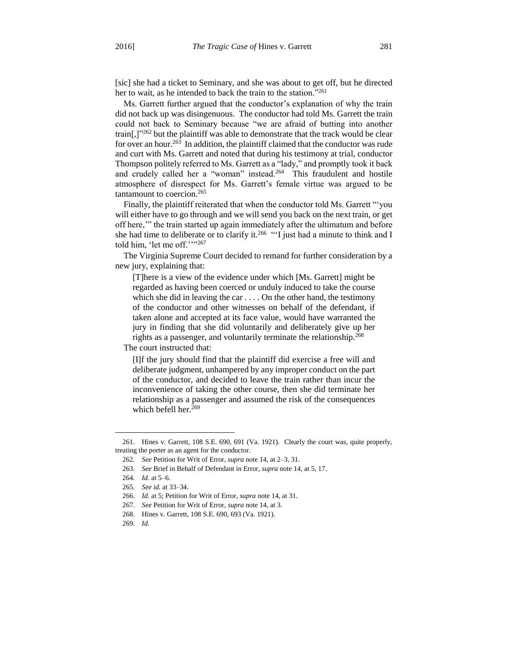[sic] she had a ticket to Seminary, and she was about to get off, but he directed her to wait, as he intended to back the train to the station."261

Ms. Garrett further argued that the conductor's explanation of why the train did not back up was disingenuous. The conductor had told Ms. Garrett the train could not back to Seminary because "we are afraid of butting into another train[,]"<sup>262</sup> but the plaintiff was able to demonstrate that the track would be clear for over an hour.<sup>263</sup> In addition, the plaintiff claimed that the conductor was rude and curt with Ms. Garrett and noted that during his testimony at trial, conductor Thompson politely referred to Ms. Garrett as a "lady," and promptly took it back and crudely called her a "woman" instead.<sup>264</sup> This fraudulent and hostile atmosphere of disrespect for Ms. Garrett's female virtue was argued to be tantamount to coercion.<sup>265</sup>

Finally, the plaintiff reiterated that when the conductor told Ms. Garrett "'you will either have to go through and we will send you back on the next train, or get off here,'" the train started up again immediately after the ultimatum and before she had time to deliberate or to clarify it.<sup>266</sup> "I just had a minute to think and I told him, 'let me off.''"267

The Virginia Supreme Court decided to remand for further consideration by a new jury, explaining that:

[T]here is a view of the evidence under which [Ms. Garrett] might be regarded as having been coerced or unduly induced to take the course which she did in leaving the car . . . . On the other hand, the testimony of the conductor and other witnesses on behalf of the defendant, if taken alone and accepted at its face value, would have warranted the jury in finding that she did voluntarily and deliberately give up her rights as a passenger, and voluntarily terminate the relationship.<sup>268</sup>

The court instructed that:

[I]f the jury should find that the plaintiff did exercise a free will and deliberate judgment, unhampered by any improper conduct on the part of the conductor, and decided to leave the train rather than incur the inconvenience of taking the other course, then she did terminate her relationship as a passenger and assumed the risk of the consequences which befell her.<sup>269</sup>

<sup>261.</sup> Hines v. Garrett, 108 S.E. 690, 691 (Va. 1921). Clearly the court was, quite properly, treating the porter as an agent for the conductor.

<sup>262</sup>*. See* Petition for Writ of Error, *supra* note 14, at 2–3, 31.

<sup>263</sup>*. See* Brief in Behalf of Defendant in Error, *supra* note 14, at 5, 17.

<sup>264</sup>*. Id.* at 5–6.

<sup>265</sup>*. See id.* at 33–34.

<sup>266</sup>*. Id.* at 5; Petition for Writ of Error, *supra* note 14, at 31.

<sup>267</sup>*. See* Petition for Writ of Error, *supra* note 14, at 3.

<sup>268.</sup> Hines v. Garrett, 108 S.E. 690, 693 (Va. 1921).

<sup>269</sup>*. Id.*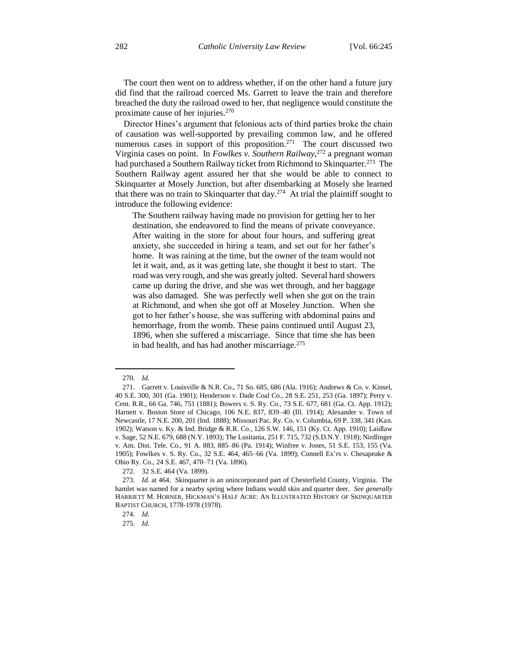The court then went on to address whether, if on the other hand a future jury did find that the railroad coerced Ms. Garrett to leave the train and therefore breached the duty the railroad owed to her, that negligence would constitute the proximate cause of her injuries.<sup>270</sup>

Director Hines's argument that felonious acts of third parties broke the chain of causation was well-supported by prevailing common law, and he offered numerous cases in support of this proposition.<sup>271</sup> The court discussed two Virginia cases on point. In *Fowlkes v. Southern Railway*, <sup>272</sup> a pregnant woman had purchased a Southern Railway ticket from Richmond to Skinquarter.<sup>273</sup> The Southern Railway agent assured her that she would be able to connect to Skinquarter at Mosely Junction, but after disembarking at Mosely she learned that there was no train to Skinquarter that day. $274$  At trial the plaintiff sought to introduce the following evidence:

The Southern railway having made no provision for getting her to her destination, she endeavored to find the means of private conveyance. After waiting in the store for about four hours, and suffering great anxiety, she succeeded in hiring a team, and set out for her father's home. It was raining at the time, but the owner of the team would not let it wait, and, as it was getting late, she thought it best to start. The road was very rough, and she was greatly jolted. Several hard showers came up during the drive, and she was wet through, and her baggage was also damaged. She was perfectly well when she got on the train at Richmond, and when she got off at Moseley Junction. When she got to her father's house, she was suffering with abdominal pains and hemorrhage, from the womb. These pains continued until August 23, 1896, when she suffered a miscarriage. Since that time she has been in bad health, and has had another miscarriage.<sup>275</sup>

<sup>270</sup>*. Id.*

<sup>271.</sup> Garrett v. Louisville & N.R. Co., 71 So. 685, 686 (Ala. 1916); Andrews & Co. v. Kinsel, 40 S.E. 300, 301 (Ga. 1901); Henderson v. Dade Coal Co., 28 S.E. 251, 253 (Ga. 1897); Perry v. Cent. R.R., 66 Ga. 746, 751 (1881); Bowers v. S. Ry. Co., 73 S.E. 677, 681 (Ga. Ct. App. 1912); Harnett v. Boston Store of Chicago, 106 N.E. 837, 839–40 (Ill. 1914); Alexander v. Town of Newcastle, 17 N.E. 200, 201 (Ind. 1888); Missouri Pac. Ry. Co. v. Columbia, 69 P. 338, 341 (Kan. 1902); Watson v. Ky. & Ind. Bridge & R.R. Co., 126 S.W. 146, 151 (Ky. Ct. App. 1910); Laidlaw v. Sage, 52 N.E. 679, 688 (N.Y. 1893); The Lusitania, 251 F. 715, 732 (S.D.N.Y. 1918); Nirdlinger v. Am. Dist. Tele. Co., 91 A. 883, 885–86 (Pa. 1914); Winfree v. Jones, 51 S.E. 153, 155 (Va. 1905); Fowlkes v. S. Ry. Co., 32 S.E. 464, 465–66 (Va. 1899); Connell Ex'rs v. Chesapeake & Ohio Ry. Co., 24 S.E. 467, 470–71 (Va. 1896).

<sup>272.</sup> 32 S.E. 464 (Va. 1899).

<sup>273</sup>*. Id.* at 464. Skinquarter is an unincorporated part of Chesterfield County, Virginia. The hamlet was named for a nearby spring where Indians would skin and quarter deer. *See generally* HARRIETT M. HORNER, HICKMAN'S HALF ACRE: AN ILLUSTRATED HISTORY OF SKINQUARTER BAPTIST CHURCH*,* 1778-1978 (1978).

<sup>274</sup>*. Id.*

<sup>275</sup>*. Id.*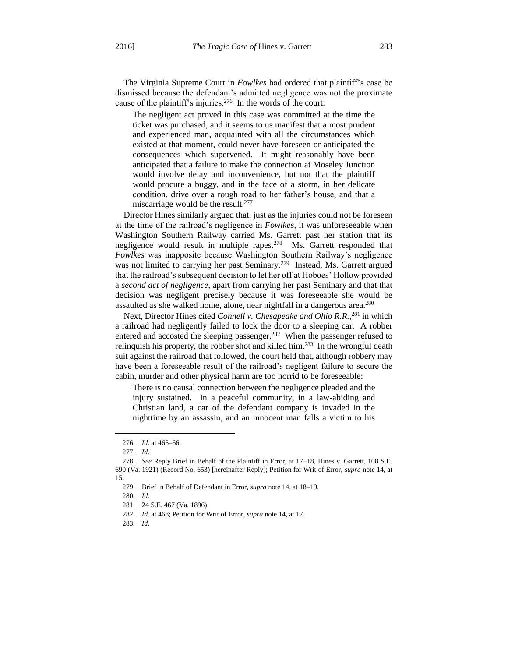The Virginia Supreme Court in *Fowlkes* had ordered that plaintiff's case be dismissed because the defendant's admitted negligence was not the proximate cause of the plaintiff's injuries.<sup>276</sup> In the words of the court:

The negligent act proved in this case was committed at the time the ticket was purchased, and it seems to us manifest that a most prudent and experienced man, acquainted with all the circumstances which existed at that moment, could never have foreseen or anticipated the consequences which supervened. It might reasonably have been anticipated that a failure to make the connection at Moseley Junction would involve delay and inconvenience, but not that the plaintiff would procure a buggy, and in the face of a storm, in her delicate condition, drive over a rough road to her father's house, and that a miscarriage would be the result.<sup>277</sup>

Director Hines similarly argued that, just as the injuries could not be foreseen at the time of the railroad's negligence in *Fowlkes*, it was unforeseeable when Washington Southern Railway carried Ms. Garrett past her station that its negligence would result in multiple rapes.<sup>278</sup> Ms. Garrett responded that *Fowlkes* was inapposite because Washington Southern Railway's negligence was not limited to carrying her past Seminary.<sup>279</sup> Instead, Ms. Garrett argued that the railroad's subsequent decision to let her off at Hoboes' Hollow provided a *second act of negligence*, apart from carrying her past Seminary and that that decision was negligent precisely because it was foreseeable she would be assaulted as she walked home, alone, near nightfall in a dangerous area.<sup>280</sup>

Next, Director Hines cited *Connell v. Chesapeake and Ohio R.R.*, <sup>281</sup> in which a railroad had negligently failed to lock the door to a sleeping car. A robber entered and accosted the sleeping passenger.<sup>282</sup> When the passenger refused to relinquish his property, the robber shot and killed him.<sup>283</sup> In the wrongful death suit against the railroad that followed, the court held that, although robbery may have been a foreseeable result of the railroad's negligent failure to secure the cabin, murder and other physical harm are too horrid to be foreseeable:

There is no causal connection between the negligence pleaded and the injury sustained. In a peaceful community, in a law-abiding and Christian land, a car of the defendant company is invaded in the nighttime by an assassin, and an innocent man falls a victim to his

<sup>276</sup>*. Id.* at 465–66.

<sup>277</sup>*. Id.*

<sup>278</sup>*. See* Reply Brief in Behalf of the Plaintiff in Error, at 17–18, Hines v. Garrett, 108 S.E. 690 (Va. 1921) (Record No. 653) [hereinafter Reply]; Petition for Writ of Error, *supra* note 14, at 15.

<sup>279.</sup> Brief in Behalf of Defendant in Error, *supra* note 14, at 18–19.

<sup>280</sup>*. Id.*

<sup>281.</sup> 24 S.E. 467 (Va. 1896).

<sup>282</sup>*. Id.* at 468; Petition for Writ of Error, *supra* note 14, at 17.

<sup>283</sup>*. Id.*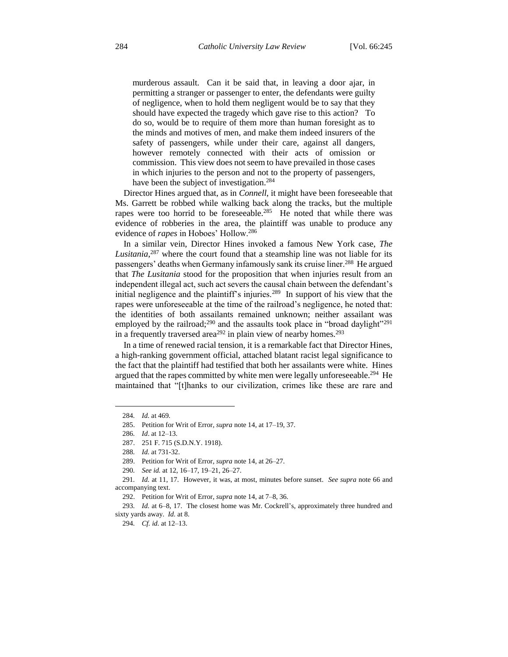murderous assault. Can it be said that, in leaving a door ajar, in permitting a stranger or passenger to enter, the defendants were guilty of negligence, when to hold them negligent would be to say that they should have expected the tragedy which gave rise to this action? To do so, would be to require of them more than human foresight as to the minds and motives of men, and make them indeed insurers of the safety of passengers, while under their care, against all dangers, however remotely connected with their acts of omission or commission. This view does not seem to have prevailed in those cases in which injuries to the person and not to the property of passengers, have been the subject of investigation.<sup>284</sup>

Director Hines argued that, as in *Connell*, it might have been foreseeable that Ms. Garrett be robbed while walking back along the tracks, but the multiple rapes were too horrid to be foreseeable.<sup>285</sup> He noted that while there was evidence of robberies in the area, the plaintiff was unable to produce any evidence of *rapes* in Hoboes' Hollow.<sup>286</sup>

In a similar vein, Director Hines invoked a famous New York case, *The Lusitania*, <sup>287</sup> where the court found that a steamship line was not liable for its passengers' deaths when Germany infamously sank its cruise liner.<sup>288</sup> He argued that *The Lusitania* stood for the proposition that when injuries result from an independent illegal act, such act severs the causal chain between the defendant's initial negligence and the plaintiff's injuries.<sup>289</sup> In support of his view that the rapes were unforeseeable at the time of the railroad's negligence, he noted that: the identities of both assailants remained unknown; neither assailant was employed by the railroad;<sup>290</sup> and the assaults took place in "broad daylight"<sup>291</sup> in a frequently traversed area<sup>292</sup> in plain view of nearby homes.<sup>293</sup>

In a time of renewed racial tension, it is a remarkable fact that Director Hines, a high-ranking government official, attached blatant racist legal significance to the fact that the plaintiff had testified that both her assailants were white. Hines argued that the rapes committed by white men were legally unforeseeable.<sup>294</sup> He maintained that "[t]hanks to our civilization, crimes like these are rare and

<sup>284</sup>*. Id.* at 469.

<sup>285.</sup> Petition for Writ of Error, *supra* note 14, at 17–19, 37.

<sup>286</sup>*. Id*. at 12–13.

<sup>287.</sup> 251 F. 715 (S.D.N.Y. 1918).

<sup>288</sup>*. Id.* at 731-32.

<sup>289.</sup> Petition for Writ of Error, *supra* note 14, at 26–27.

<sup>290</sup>*. See id.* at 12, 16–17, 19–21, 26–27.

<sup>291</sup>*. Id.* at 11, 17. However, it was, at most, minutes before sunset. *See supra* note 66 and accompanying text.

<sup>292.</sup> Petition for Writ of Error, *supra* note 14, at 7–8, 36.

<sup>293</sup>*. Id.* at 6–8, 17. The closest home was Mr. Cockrell's, approximately three hundred and sixty yards away. *Id.* at 8.

<sup>294</sup>*. Cf. id.* at 12–13.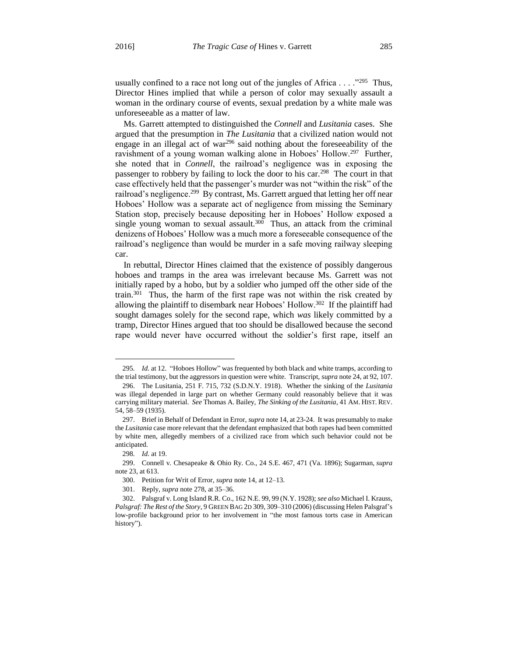usually confined to a race not long out of the jungles of Africa  $\dots$ <sup>295</sup> Thus, Director Hines implied that while a person of color may sexually assault a woman in the ordinary course of events, sexual predation by a white male was unforeseeable as a matter of law.

Ms. Garrett attempted to distinguished the *Connell* and *Lusitania* cases. She argued that the presumption in *The Lusitania* that a civilized nation would not engage in an illegal act of war $^{296}$  said nothing about the foreseeability of the ravishment of a young woman walking alone in Hoboes' Hollow.<sup>297</sup> Further, she noted that in *Connell*, the railroad's negligence was in exposing the passenger to robbery by failing to lock the door to his car.<sup>298</sup> The court in that case effectively held that the passenger's murder was not "within the risk" of the railroad's negligence.<sup>299</sup> By contrast, Ms. Garrett argued that letting her off near Hoboes' Hollow was a separate act of negligence from missing the Seminary Station stop, precisely because depositing her in Hoboes' Hollow exposed a single young woman to sexual assault.<sup>300</sup> Thus, an attack from the criminal denizens of Hoboes' Hollow was a much more a foreseeable consequence of the railroad's negligence than would be murder in a safe moving railway sleeping car.

In rebuttal, Director Hines claimed that the existence of possibly dangerous hoboes and tramps in the area was irrelevant because Ms. Garrett was not initially raped by a hobo, but by a soldier who jumped off the other side of the train.<sup>301</sup> Thus, the harm of the first rape was not within the risk created by allowing the plaintiff to disembark near Hoboes' Hollow.<sup>302</sup> If the plaintiff had sought damages solely for the second rape, which *was* likely committed by a tramp, Director Hines argued that too should be disallowed because the second rape would never have occurred without the soldier's first rape, itself an

<sup>295</sup>*. Id.* at 12. "Hoboes Hollow" was frequented by both black and white tramps, according to the trial testimony, but the aggressors in question were white. Transcript, *supra* note 24, at 92, 107.

<sup>296.</sup> The Lusitania, 251 F. 715, 732 (S.D.N.Y. 1918). Whether the sinking of the *Lusitania* was illegal depended in large part on whether Germany could reasonably believe that it was carrying military material. *See* Thomas A. Bailey, *The Sinking of the Lusitania*, 41 AM. HIST. REV. 54, 58–59 (1935).

<sup>297.</sup> Brief in Behalf of Defendant in Error, *supra* note 14, at 23-24. It was presumably to make the *Lusitania* case more relevant that the defendant emphasized that both rapes had been committed by white men, allegedly members of a civilized race from which such behavior could not be anticipated.

<sup>298</sup>*. Id.* at 19.

<sup>299.</sup> Connell v. Chesapeake & Ohio Ry. Co., 24 S.E. 467, 471 (Va. 1896); Sugarman, *supra* note 23, at 613.

<sup>300.</sup> Petition for Writ of Error, *supra* note 14, at 12–13.

<sup>301.</sup> Reply, *supra* note 278, at 35–36.

<sup>302.</sup> Palsgraf v. Long Island R.R. Co., 162 N.E. 99, 99 (N.Y. 1928); *see also* Michael I. Krauss, *Palsgraf: The Rest of the Story*, 9 GREEN BAG 2D 309, 309–310 (2006) (discussing Helen Palsgraf's low-profile background prior to her involvement in "the most famous torts case in American history").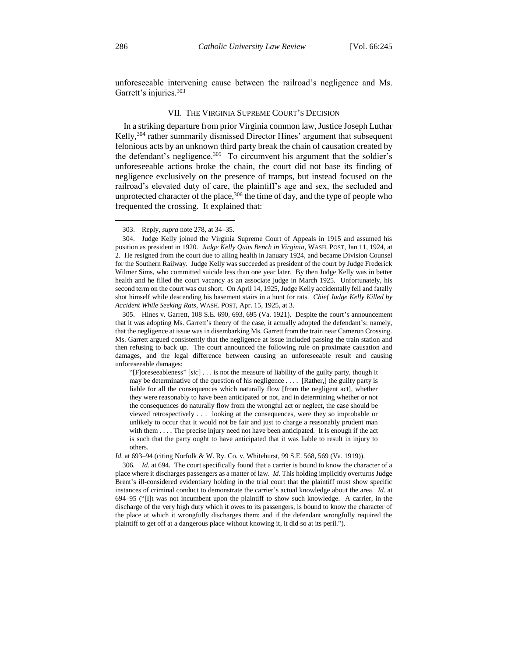unforeseeable intervening cause between the railroad's negligence and Ms. Garrett's injuries.<sup>303</sup>

#### VII. THE VIRGINIA SUPREME COURT'S DECISION

In a striking departure from prior Virginia common law, Justice Joseph Luthar Kelly,<sup>304</sup> rather summarily dismissed Director Hines' argument that subsequent felonious acts by an unknown third party break the chain of causation created by the defendant's negligence.<sup>305</sup> To circumvent his argument that the soldier's unforeseeable actions broke the chain, the court did not base its finding of negligence exclusively on the presence of tramps, but instead focused on the railroad's elevated duty of care, the plaintiff's age and sex, the secluded and unprotected character of the place,  $306$  the time of day, and the type of people who frequented the crossing. It explained that:

"[F]oreseeableness" [*sic*] . . . is not the measure of liability of the guilty party, though it may be determinative of the question of his negligence . . . . [Rather,] the guilty party is liable for all the consequences which naturally flow [from the negligent act], whether they were reasonably to have been anticipated or not, and in determining whether or not the consequences do naturally flow from the wrongful act or neglect, the case should be viewed retrospectively . . . looking at the consequences, were they so improbable or unlikely to occur that it would not be fair and just to charge a reasonably prudent man with them  $\ldots$ . The precise injury need not have been anticipated. It is enough if the act is such that the party ought to have anticipated that it was liable to result in injury to others.

*Id.* at 693–94 (citing Norfolk & W. Ry. Co. v. Whitehurst, 99 S.E. 568, 569 (Va. 1919)).

306*. Id.* at 694. The court specifically found that a carrier is bound to know the character of a place where it discharges passengers as a matter of law. *Id.* This holding implicitly overturns Judge Brent's ill-considered evidentiary holding in the trial court that the plaintiff must show specific instances of criminal conduct to demonstrate the carrier's actual knowledge about the area. *Id.* at 694–95 ("[I]t was not incumbent upon the plaintiff to show such knowledge. A carrier, in the discharge of the very high duty which it owes to its passengers, is bound to know the character of the place at which it wrongfully discharges them; and if the defendant wrongfully required the plaintiff to get off at a dangerous place without knowing it, it did so at its peril.").

<sup>303.</sup> Reply, *supra* note 278, at 34–35.

<sup>304.</sup> Judge Kelly joined the Virginia Supreme Court of Appeals in 1915 and assumed his position as president in 1920. *Judge Kelly Quits Bench in Virginia*, WASH. POST, Jan 11, 1924, at 2. He resigned from the court due to ailing health in January 1924, and became Division Counsel for the Southern Railway. Judge Kelly was succeeded as president of the court by Judge Frederick Wilmer Sims, who committed suicide less than one year later. By then Judge Kelly was in better health and he filled the court vacancy as an associate judge in March 1925. Unfortunately, his second term on the court was cut short. On April 14, 1925, Judge Kelly accidentally fell and fatally shot himself while descending his basement stairs in a hunt for rats. *Chief Judge Kelly Killed by Accident While Seeking Rats*, WASH. POST, Apr. 15, 1925, at 3.

<sup>305.</sup> Hines v. Garrett, 108 S.E. 690, 693, 695 (Va. 1921). Despite the court's announcement that it was adopting Ms. Garrett's theory of the case, it actually adopted the defendant's: namely, that the negligence at issue was in disembarking Ms. Garrett from the train near Cameron Crossing. Ms. Garrett argued consistently that the negligence at issue included passing the train station and then refusing to back up. The court announced the following rule on proximate causation and damages, and the legal difference between causing an unforeseeable result and causing unforeseeable damages: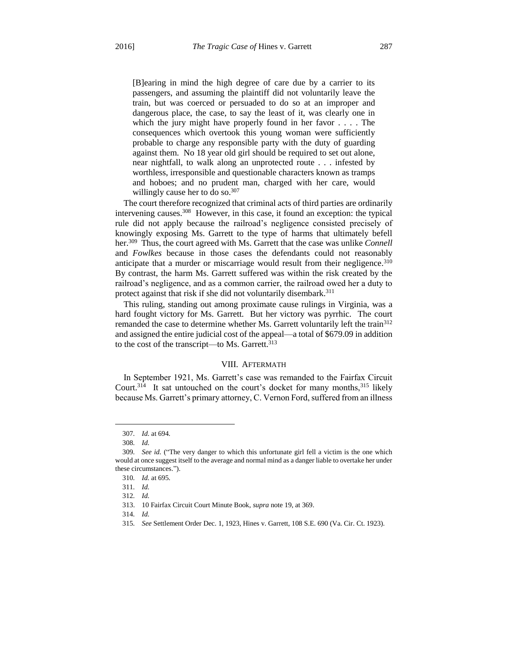[B]earing in mind the high degree of care due by a carrier to its passengers, and assuming the plaintiff did not voluntarily leave the train, but was coerced or persuaded to do so at an improper and dangerous place, the case, to say the least of it, was clearly one in which the jury might have properly found in her favor . . . . The consequences which overtook this young woman were sufficiently probable to charge any responsible party with the duty of guarding against them. No 18 year old girl should be required to set out alone, near nightfall, to walk along an unprotected route . . . infested by worthless, irresponsible and questionable characters known as tramps and hoboes; and no prudent man, charged with her care, would willingly cause her to do so.<sup>307</sup>

The court therefore recognized that criminal acts of third parties are ordinarily intervening causes.<sup>308</sup> However, in this case, it found an exception: the typical rule did not apply because the railroad's negligence consisted precisely of knowingly exposing Ms. Garrett to the type of harms that ultimately befell her.<sup>309</sup> Thus, the court agreed with Ms. Garrett that the case was unlike *Connell* and *Fowlkes* because in those cases the defendants could not reasonably anticipate that a murder or miscarriage would result from their negligence.<sup>310</sup> By contrast, the harm Ms. Garrett suffered was within the risk created by the railroad's negligence, and as a common carrier, the railroad owed her a duty to protect against that risk if she did not voluntarily disembark.<sup>311</sup>

This ruling, standing out among proximate cause rulings in Virginia, was a hard fought victory for Ms. Garrett. But her victory was pyrrhic. The court remanded the case to determine whether Ms. Garrett voluntarily left the train<sup>312</sup> and assigned the entire judicial cost of the appeal—a total of \$679.09 in addition to the cost of the transcript—to Ms. Garrett.<sup>313</sup>

#### VIII. AFTERMATH

In September 1921, Ms. Garrett's case was remanded to the Fairfax Circuit Court.<sup>314</sup> It sat untouched on the court's docket for many months,<sup>315</sup> likely because Ms. Garrett's primary attorney, C. Vernon Ford, suffered from an illness

<sup>307</sup>*. Id.* at 694.

<sup>308</sup>*. Id.*

<sup>309</sup>*. See id.* ("The very danger to which this unfortunate girl fell a victim is the one which would at once suggest itself to the average and normal mind as a danger liable to overtake her under these circumstances.").

<sup>310</sup>*. Id.* at 695.

<sup>311</sup>*. Id.*

<sup>312</sup>*. Id.*

<sup>313.</sup> 10 Fairfax Circuit Court Minute Book, *supra* note 19, at 369.

<sup>314</sup>*. Id.*

<sup>315</sup>*. See* Settlement Order Dec. 1, 1923, Hines v. Garrett, 108 S.E. 690 (Va. Cir. Ct. 1923).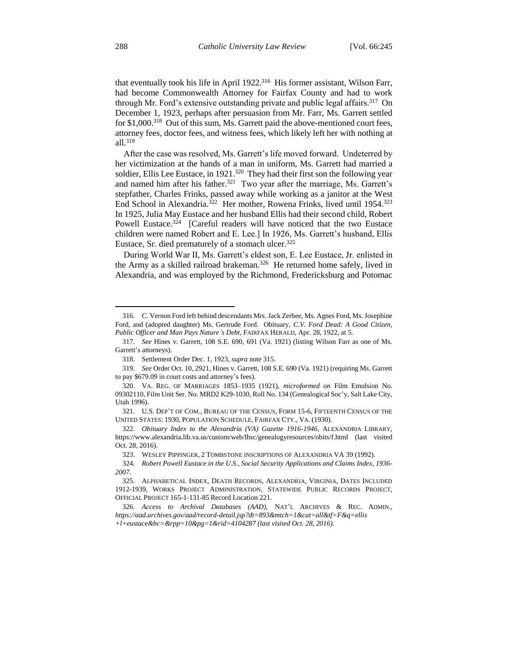that eventually took his life in April 1922.<sup>316</sup> His former assistant, Wilson Farr, had become Commonwealth Attorney for Fairfax County and had to work through Mr. Ford's extensive outstanding private and public legal affairs.<sup>317</sup> On December 1, 1923, perhaps after persuasion from Mr. Farr, Ms. Garrett settled for \$1,000.<sup>318</sup> Out of this sum, Ms. Garrett paid the above-mentioned court fees, attorney fees, doctor fees, and witness fees, which likely left her with nothing at all.<sup>319</sup>

After the case was resolved, Ms. Garrett's life moved forward. Undeterred by her victimization at the hands of a man in uniform, Ms. Garrett had married a soldier, Ellis Lee Eustace, in 1921.<sup>320</sup> They had their first son the following year and named him after his father.<sup>321</sup> Two year after the marriage, Ms. Garrett's stepfather, Charles Frinks, passed away while working as a janitor at the West End School in Alexandria.<sup>322</sup> Her mother, Rowena Frinks, lived until 1954.<sup>323</sup> In 1925, Julia May Eustace and her husband Ellis had their second child, Robert Powell Eustace.<sup>324</sup> [Careful readers will have noticed that the two Eustace children were named Robert and E. Lee.] In 1926, Ms. Garrett's husband, Ellis Eustace, Sr. died prematurely of a stomach ulcer.<sup>325</sup>

During World War II, Ms. Garrett's eldest son, E. Lee Eustace, Jr. enlisted in the Army as a skilled railroad brakeman.<sup>326</sup> He returned home safely, lived in Alexandria, and was employed by the Richmond, Fredericksburg and Potomac

<sup>316.</sup> C. Vernon Ford left behind descendants Mrs. Jack Zerbee, Ms. Agnes Ford, Ms. Josephine Ford, and (adopted daughter) Ms. Gertrude Ford. Obituary, *C.V. Ford Dead: A Good Citizen, Public Officer and Man Pays Nature's Debt*, FAIRFAX HERALD, Apr. 28, 1922, at 5.

<sup>317</sup>*. See* Hines v. Garrett, 108 S.E. 690, 691 (Va. 1921) (listing Wilson Farr as one of Ms. Garrett's attorneys).

<sup>318.</sup> Settlement Order Dec. 1, 1923, *supra* note 315.

<sup>319</sup>*. See* Order Oct. 10, 2921, Hines v. Garrett, 108 S.E. 690 (Va. 1921) (requiring Ms. Garrett to pay \$679.09 in court costs and attorney's fees).

<sup>320.</sup> VA. REG. OF MARRIAGES 1853–1935 (1921), *microformed on* Film Emulsion No. 09302110, Film Unit Ser. No. MRD2 K29-1030, Roll No. 134 (Genealogical Soc'y, Salt Lake City, Utah 1996).

<sup>321.</sup> U.S. DEP'T OF COM., BUREAU OF THE CENSUS, FORM 15-6, FIFTEENTH CENSUS OF THE UNITED STATES: 1930, POPULATION SCHEDULE, FAIRFAX CTY., VA. (1930).

<sup>322</sup>*. Obituary Index to the Alexandria (VA) Gazette 1916-1946*, ALEXANDRIA LIBRARY, https://www.alexandria.lib.va.us/custom/web/lhsc/genealogyresources/obits/f.html (last visited Oct. 28, 2016).

<sup>323.</sup> WESLEY PIPPINGER, 2 TOMBSTONE INSCRIPTIONS OF ALEXANDRIA VA 39 (1992).

<sup>324</sup>*. Robert Powell Eustace in the U.S., Social Security Applications and Claims Index, 1936- 2007*.

<sup>325.</sup> ALPHABETICAL INDEX, DEATH RECORDS, ALEXANDRIA, VIRGINIA, DATES INCLUDED 1912-1939, WORKS PROJECT ADMINISTRATION, STATEWIDE PUBLIC RECORDS PROJECT, OFFICIAL PROJECT 165-1-131-85 Record Location 221.

<sup>326</sup>*. Access to Archival Databases (AAD),* NAT'L ARCHIVES & REC. ADMIN.*, https://aad.archives.gov/aad/record-detail.jsp?dt=893&mtch=1&cat=all&tf=F&q=ellis +l+eustace&bc=&rpp=10&pg=1&rid=4104287 (last visited Oct. 28, 2016).*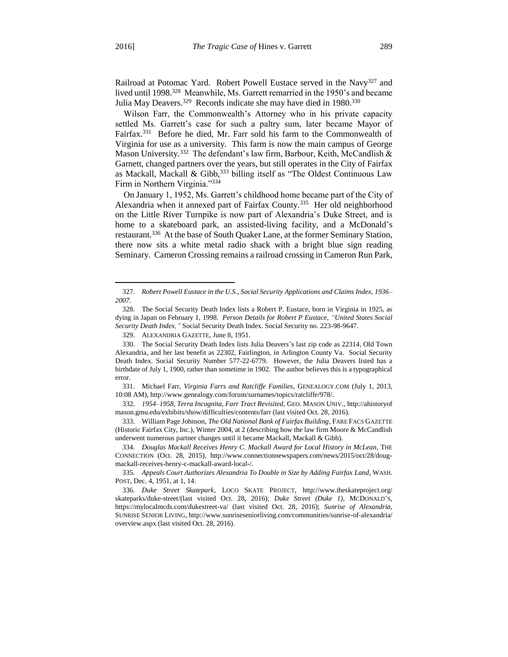l

Railroad at Potomac Yard. Robert Powell Eustace served in the Navy<sup>327</sup> and lived until 1998.<sup>328</sup> Meanwhile, Ms. Garrett remarried in the 1950's and became Julia May Deavers.<sup>329</sup> Records indicate she may have died in 1980.<sup>330</sup>

Wilson Farr, the Commonwealth's Attorney who in his private capacity settled Ms. Garrett's case for such a paltry sum, later became Mayor of Fairfax.<sup>331</sup> Before he died, Mr. Farr sold his farm to the Commonwealth of Virginia for use as a university. This farm is now the main campus of George Mason University.<sup>332</sup> The defendant's law firm, Barbour, Keith, McCandlish & Garnett, changed partners over the years, but still operates in the City of Fairfax as Mackall, Mackall & Gibb, 333 billing itself as "The Oldest Continuous Law Firm in Northern Virginia."<sup>334</sup>

On January 1, 1952, Ms. Garrett's childhood home became part of the City of Alexandria when it annexed part of Fairfax County.<sup>335</sup> Her old neighborhood on the Little River Turnpike is now part of Alexandria's Duke Street, and is home to a skateboard park, an assisted-living facility, and a McDonald's restaurant.<sup>336</sup> At the base of South Quaker Lane, at the former Seminary Station, there now sits a white metal radio shack with a bright blue sign reading Seminary. Cameron Crossing remains a railroad crossing in Cameron Run Park,

<sup>327</sup>*. Robert Powell Eustace in the U.S., Social Security Applications and Claims Index, 1936– 2007*.

<sup>328.</sup> The Social Security Death Index lists a Robert P. Eustace, born in Virginia in 1925, as dying in Japan on February 1, 1998*. Person Details for Robert P Eustace, "United States Social Security Death Index,"* Social Security Death Index. Social Security no. 223-98-9647.

<sup>329.</sup> ALEXANDRIA GAZETTE, June 8, 1951.

<sup>330.</sup> The Social Security Death Index lists Julia Deavers's last zip code as 22314, Old Town Alexandria, and her last benefit as 22302, Fairlington, in Arlington County Va. Social Security Death Index. Social Security Number 577-22-6779. However, the Julia Deavers listed has a birthdate of July 1, 1900, rather than sometime in 1902. The author believes this is a typographical error.

<sup>331.</sup> Michael Farr, *Virginia Farrs and Ratcliffe Families*, GENEALOGY.COM (July 1, 2013, 10:08 AM), http://www.genealogy.com/forum/surnames/topics/ratcliffe/978/.

<sup>332</sup>*. 1954–1958, Terra Incognita, Farr Tract Revisited*, GEO. MASON UNIV., http://ahistoryof mason.gmu.edu/exhibits/show/difficulties/contents/farr (last visited Oct. 28, 2016).

<sup>333.</sup> William Page Johnson, *The Old National Bank of Fairfax Building*, FARE FACS GAZETTE (Historic Fairfax City, Inc.), Winter 2004, at 2 (describing how the law firm Moore & McCandlish underwent numerous partner changes until it became Mackall, Mackall & Gibb).

<sup>334</sup>*. Douglas Mackall Receives Henry C. Mackall Award for Local History in McLean*, THE CONNECTION (Oct. 28, 2015), http://www.connectionnewspapers.com/news/2015/oct/28/dougmackall-receives-henry-c-mackall-award-local-/.

<sup>335</sup>*. Appeals Court Authorizes Alexandria To Double in Size by Adding Fairfax Land*, WASH. POST, Dec. 4, 1951, at 1, 14.

<sup>336</sup>*. Duke Street Skatepark*, LOCO SKATE PROJECT, http://www.theskateproject.org/ skateparks/duke-street/(last visited Oct. 28, 2016); *Duke Street (Duke 1)*, MCDONALD'S, https://mylocalmcds.com/dukestreet-va/ (last visited Oct. 28, 2016); *Sunrise of Alexandria*, SUNRISE SENIOR LIVING, http://www.sunriseseniorliving.com/communities/sunrise-of-alexandria/ overview.aspx (last visited Oct. 28, 2016).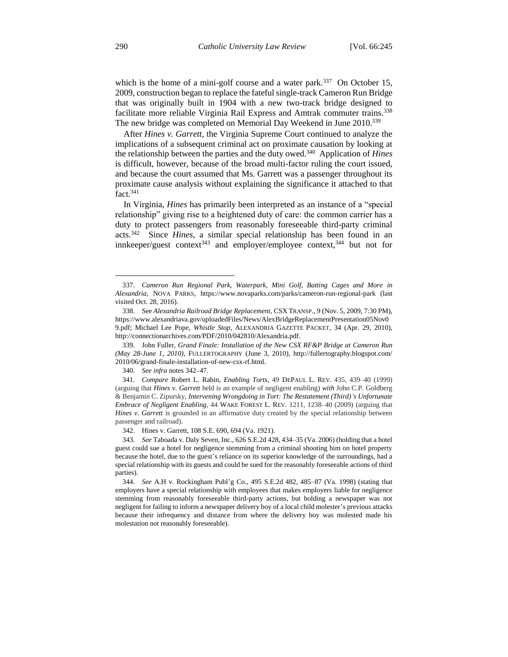which is the home of a mini-golf course and a water park.<sup>337</sup> On October 15, 2009, construction began to replace the fateful single-track Cameron Run Bridge that was originally built in 1904 with a new two-track bridge designed to facilitate more reliable Virginia Rail Express and Amtrak commuter trains.<sup>338</sup> The new bridge was completed on Memorial Day Weekend in June 2010.<sup>339</sup>

After *Hines v. Garrett*, the Virginia Supreme Court continued to analyze the implications of a subsequent criminal act on proximate causation by looking at the relationship between the parties and the duty owed.<sup>340</sup> Application of *Hines* is difficult, however, because of the broad multi-factor ruling the court issued, and because the court assumed that Ms. Garrett was a passenger throughout its proximate cause analysis without explaining the significance it attached to that  $fact.<sup>341</sup>$ 

In Virginia, *Hines* has primarily been interpreted as an instance of a "special relationship" giving rise to a heightened duty of care: the common carrier has a duty to protect passengers from reasonably foreseeable third-party criminal acts.<sup>342</sup> Since *Hines*, a similar special relationship has been found in an innkeeper/guest context<sup>343</sup> and employer/employee context,<sup>344</sup> but not for

339. John Fuller, *Grand Finale: Installation of the New CSX RF&P Bridge at Cameron Run (May 28-June 1, 2010)*, FULLERTOGRAPHY (June 3, 2010), http://fullertography.blogspot.com/ 2010/06/grand-finale-installation-of-new-csx-rf.html.

340*. See infra* notes 342–47.

<sup>337</sup>*. Cameron Run Regional Park, Waterpark, Mini Golf, Batting Cages and More in Alexandria*, NOVA PARKS, https://www.novaparks.com/parks/cameron-run-regional-park (last visited Oct. 28, 2016).

<sup>338.</sup> See *Alexandria Railroad Bridge Replacement*, CSX TRANSP., 9 (Nov. 5, 2009, 7:30 PM), https://www.alexandriava.gov/uploadedFiles/News/AlexBridgeReplacementPresentation05Nov0 9.pdf; Michael Lee Pope, *Whistle Stop*, ALEXANDRIA GAZETTE PACKET, 34 (Apr. 29, 2010), http://connectionarchives.com/PDF/2010/042810/Alexandria.pdf.

<sup>341</sup>*. Compare* Robert L. Rabin, *Enabling Torts*, 49 DEPAUL L. REV. 435, 439–40 (1999) (arguing that *Hines v. Garrett* held is an example of negligent enabling) *with* John C.P. Goldberg & Benjamin C. Zipursky, *Intervening Wrongdoing in Tort: The Restatement (Third)'s Unfortunate Embrace of Negligent Enabling*, 44 WAKE FOREST L. REV. 1211, 1238–40 (2009) (arguing that *Hines v. Garrett* is grounded in an affirmative duty created by the special relationship between passenger and railroad).

<sup>342.</sup> Hines v. Garrett, 108 S.E. 690, 694 (Va. 1921).

<sup>343</sup>*. See* Taboada v. Daly Seven, Inc., 626 S.E.2d 428, 434–35 (Va. 2006) (holding that a hotel guest could sue a hotel for negligence stemming from a criminal shooting him on hotel property because the hotel, due to the guest's reliance on its superior knowledge of the surroundings, had a special relationship with its guests and could be sued for the reasonably foreseeable actions of third parties).

<sup>344</sup>*. See* A.H v. Rockingham Publ'g Co., 495 S.E.2d 482, 485–87 (Va. 1998) (stating that employers have a special relationship with employees that makes employers liable for negligence stemming from reasonably foreseeable third-party actions, but holding a newspaper was not negligent for failing to inform a newspaper delivery boy of a local child molester's previous attacks because their infrequency and distance from where the delivery boy was molested made his molestation not reasonably foreseeable).